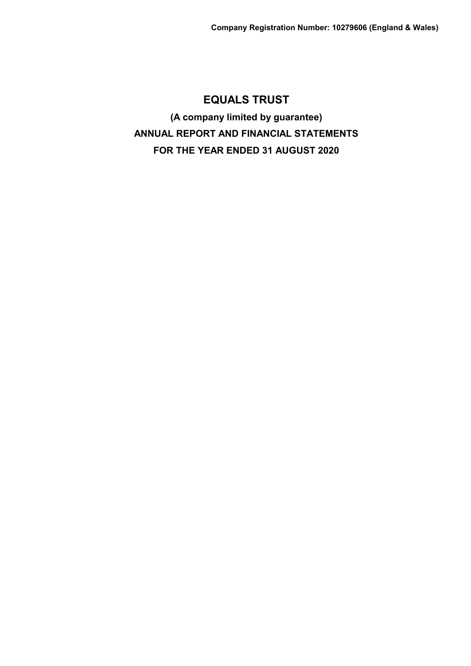**(A company limited by guarantee) ANNUAL REPORT AND FINANCIAL STATEMENTS FOR THE YEAR ENDED 31 AUGUST 2020**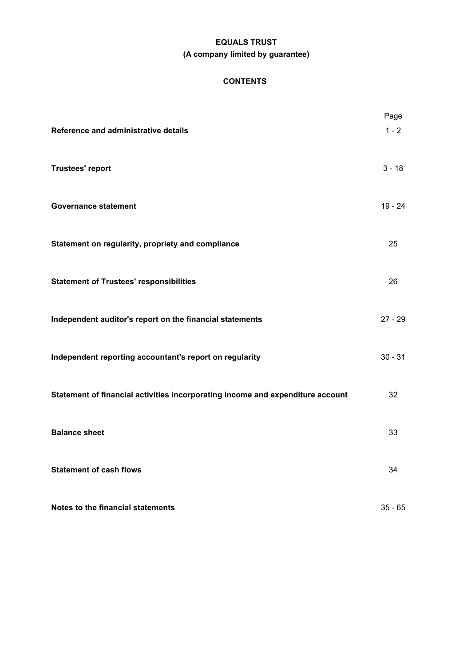# **EQUALS TRUST (A company limited by guarantee)**

# **CONTENTS**

| Reference and administrative details                                           | Page<br>$1 - 2$ |
|--------------------------------------------------------------------------------|-----------------|
| <b>Trustees' report</b>                                                        | $3 - 18$        |
| <b>Governance statement</b>                                                    | $19 - 24$       |
| Statement on regularity, propriety and compliance                              | 25              |
| <b>Statement of Trustees' responsibilities</b>                                 | 26              |
| Independent auditor's report on the financial statements                       | $27 - 29$       |
| Independent reporting accountant's report on regularity                        | $30 - 31$       |
| Statement of financial activities incorporating income and expenditure account | 32              |
| <b>Balance sheet</b>                                                           | 33              |
| <b>Statement of cash flows</b>                                                 | 34              |
| Notes to the financial statements                                              | $35 - 65$       |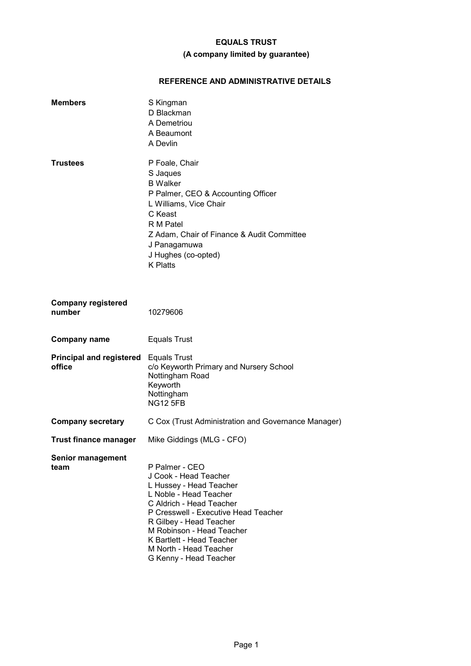# **(A company limited by guarantee)**

# **REFERENCE AND ADMINISTRATIVE DETAILS**

| <b>Members</b>                            | S Kingman<br>D Blackman<br>A Demetriou<br>A Beaumont<br>A Devlin                                                                                                                                                                                                                                          |
|-------------------------------------------|-----------------------------------------------------------------------------------------------------------------------------------------------------------------------------------------------------------------------------------------------------------------------------------------------------------|
| <b>Trustees</b>                           | P Foale, Chair<br>S Jaques<br><b>B</b> Walker<br>P Palmer, CEO & Accounting Officer<br>L Williams, Vice Chair<br>C Keast<br>R M Patel<br>Z Adam, Chair of Finance & Audit Committee<br>J Panagamuwa<br>J Hughes (co-opted)<br><b>K</b> Platts                                                             |
| <b>Company registered</b><br>number       | 10279606                                                                                                                                                                                                                                                                                                  |
| <b>Company name</b>                       | <b>Equals Trust</b>                                                                                                                                                                                                                                                                                       |
| <b>Principal and registered</b><br>office | <b>Equals Trust</b><br>c/o Keyworth Primary and Nursery School<br>Nottingham Road<br>Keyworth<br>Nottingham<br><b>NG12 5FB</b>                                                                                                                                                                            |
| <b>Company secretary</b>                  | C Cox (Trust Administration and Governance Manager)                                                                                                                                                                                                                                                       |
| <b>Trust finance manager</b>              | Mike Giddings (MLG - CFO)                                                                                                                                                                                                                                                                                 |
| <b>Senior management</b><br>team          | P Palmer - CEO<br>J Cook - Head Teacher<br>L Hussey - Head Teacher<br>L Noble - Head Teacher<br>C Aldrich - Head Teacher<br>P Cresswell - Executive Head Teacher<br>R Gilbey - Head Teacher<br>M Robinson - Head Teacher<br>K Bartlett - Head Teacher<br>M North - Head Teacher<br>G Kenny - Head Teacher |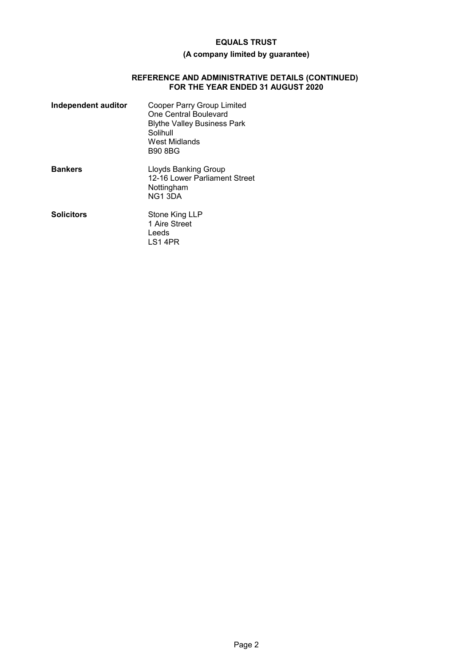# **(A company limited by guarantee)**

#### **REFERENCE AND ADMINISTRATIVE DETAILS (CONTINUED) FOR THE YEAR ENDED 31 AUGUST 2020**

| Independent auditor | Cooper Parry Group Limited<br>One Central Boulevard<br><b>Blythe Valley Business Park</b><br>Solihull<br>West Midlands<br><b>B90 8BG</b> |
|---------------------|------------------------------------------------------------------------------------------------------------------------------------------|
| <b>Bankers</b>      | Lloyds Banking Group<br>12-16 Lower Parliament Street<br>Nottingham<br>NG <sub>1</sub> 3DA                                               |
| <b>Solicitors</b>   | Stone King LLP<br>1 Aire Street<br>Leeds<br>LS1 4PR                                                                                      |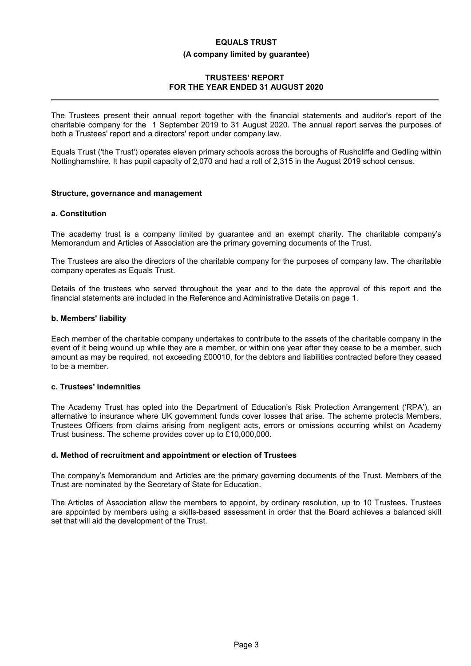# **EQUALS TRUST (A company limited by guarantee)**

# **TRUSTEES' REPORT FOR THE YEAR ENDED 31 AUGUST 2020**

The Trustees present their annual report together with the financial statements and auditor's report of the charitable company for the 1 September 2019 to 31 August 2020. The annual report serves the purposes of both a Trustees' report and a directors' report under company law.

Equals Trust ('the Trust') operates eleven primary schools across the boroughs of Rushcliffe and Gedling within Nottinghamshire. It has pupil capacity of 2,070 and had a roll of 2,315 in the August 2019 school census.

# **Structure, governance and management**

# **a. Constitution**

The academy trust is a company limited by guarantee and an exempt charity. The charitable company's Memorandum and Articles of Association are the primary governing documents of the Trust.

The Trustees are also the directors of the charitable company for the purposes of company law. The charitable company operates as Equals Trust.

Details of the trustees who served throughout the year and to the date the approval of this report and the financial statements are included in the Reference and Administrative Details on page 1.

# **b. Members' liability**

Each member of the charitable company undertakes to contribute to the assets of the charitable company in the event of it being wound up while they are a member, or within one year after they cease to be a member, such amount as may be required, not exceeding £00010, for the debtors and liabilities contracted before they ceased to be a member.

### **c. Trustees' indemnities**

The Academy Trust has opted into the Department of Education's Risk Protection Arrangement ('RPA'), an alternative to insurance where UK government funds cover losses that arise. The scheme protects Members, Trustees Officers from claims arising from negligent acts, errors or omissions occurring whilst on Academy Trust business. The scheme provides cover up to £10,000,000.

# **d. Method of recruitment and appointment or election of Trustees**

The company's Memorandum and Articles are the primary governing documents of the Trust. Members of the Trust are nominated by the Secretary of State for Education.

The Articles of Association allow the members to appoint, by ordinary resolution, up to 10 Trustees. Trustees are appointed by members using a skills-based assessment in order that the Board achieves a balanced skill set that will aid the development of the Trust.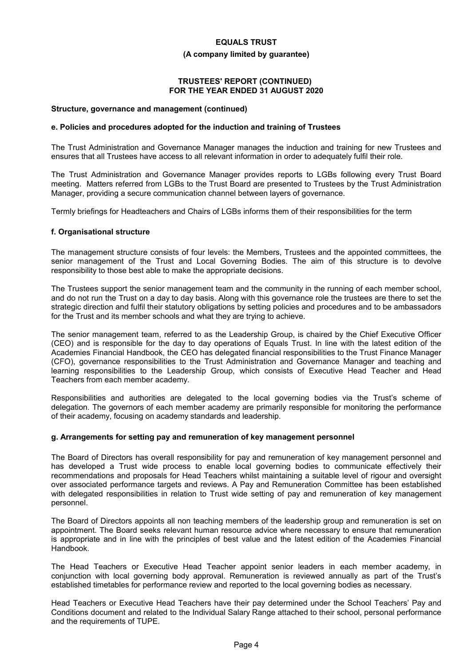#### **(A company limited by guarantee)**

# **TRUSTEES' REPORT (CONTINUED) FOR THE YEAR ENDED 31 AUGUST 2020**

#### **Structure, governance and management (continued)**

#### **e. Policies and procedures adopted for the induction and training of Trustees**

The Trust Administration and Governance Manager manages the induction and training for new Trustees and ensures that all Trustees have access to all relevant information in order to adequately fulfil their role.

The Trust Administration and Governance Manager provides reports to LGBs following every Trust Board meeting. Matters referred from LGBs to the Trust Board are presented to Trustees by the Trust Administration Manager, providing a secure communication channel between layers of governance.

Termly briefings for Headteachers and Chairs of LGBs informs them of their responsibilities for the term

#### **f. Organisational structure**

The management structure consists of four levels: the Members, Trustees and the appointed committees, the senior management of the Trust and Local Governing Bodies. The aim of this structure is to devolve responsibility to those best able to make the appropriate decisions.

The Trustees support the senior management team and the community in the running of each member school, and do not run the Trust on a day to day basis. Along with this governance role the trustees are there to set the strategic direction and fulfil their statutory obligations by setting policies and procedures and to be ambassadors for the Trust and its member schools and what they are trying to achieve.

The senior management team, referred to as the Leadership Group, is chaired by the Chief Executive Officer (CEO) and is responsible for the day to day operations of Equals Trust. In line with the latest edition of the Academies Financial Handbook, the CEO has delegated financial responsibilities to the Trust Finance Manager (CFO), governance responsibilities to the Trust Administration and Governance Manager and teaching and learning responsibilities to the Leadership Group, which consists of Executive Head Teacher and Head Teachers from each member academy.

Responsibilities and authorities are delegated to the local governing bodies via the Trust's scheme of delegation. The governors of each member academy are primarily responsible for monitoring the performance of their academy, focusing on academy standards and leadership.

#### **g. Arrangements for setting pay and remuneration of key management personnel**

The Board of Directors has overall responsibility for pay and remuneration of key management personnel and has developed a Trust wide process to enable local governing bodies to communicate effectively their recommendations and proposals for Head Teachers whilst maintaining a suitable level of rigour and oversight over associated performance targets and reviews. A Pay and Remuneration Committee has been established with delegated responsibilities in relation to Trust wide setting of pay and remuneration of key management personnel.

The Board of Directors appoints all non teaching members of the leadership group and remuneration is set on appointment. The Board seeks relevant human resource advice where necessary to ensure that remuneration is appropriate and in line with the principles of best value and the latest edition of the Academies Financial Handbook.

The Head Teachers or Executive Head Teacher appoint senior leaders in each member academy, in conjunction with local governing body approval. Remuneration is reviewed annually as part of the Trust's established timetables for performance review and reported to the local governing bodies as necessary.

Head Teachers or Executive Head Teachers have their pay determined under the School Teachers' Pay and Conditions document and related to the Individual Salary Range attached to their school, personal performance and the requirements of TUPE.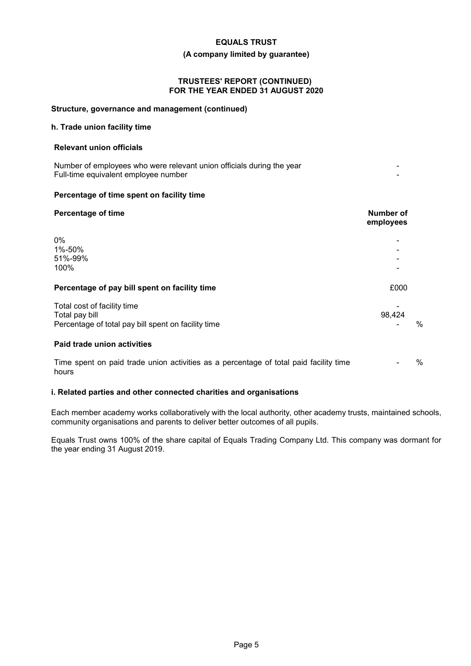#### **(A company limited by guarantee)**

#### **TRUSTEES' REPORT (CONTINUED) FOR THE YEAR ENDED 31 AUGUST 2020**

#### **Structure, governance and management (continued)**

### **h. Trade union facility time**

#### **Relevant union officials**

Number of employees who were relevant union officials during the year - Full-time equivalent employee number -

### **Percentage of time spent on facility time**

| <b>Percentage of time</b>                                                                            | <b>Number of</b><br>employees |   |
|------------------------------------------------------------------------------------------------------|-------------------------------|---|
| 0%<br>1%-50%<br>51%-99%<br>100%                                                                      |                               |   |
| Percentage of pay bill spent on facility time                                                        | £000                          |   |
| Total cost of facility time<br>Total pay bill<br>Percentage of total pay bill spent on facility time | 98,424                        | % |
| Paid trade union activities                                                                          |                               |   |
| Time spent on paid trade union activities as a percentage of total paid facility time<br>hours       |                               | % |

#### **i. Related parties and other connected charities and organisations**

Each member academy works collaboratively with the local authority, other academy trusts, maintained schools, community organisations and parents to deliver better outcomes of all pupils.

Equals Trust owns 100% of the share capital of Equals Trading Company Ltd. This company was dormant for the year ending 31 August 2019.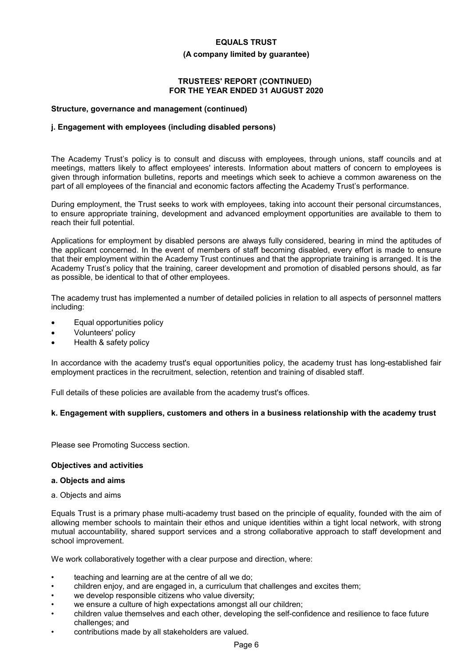#### **(A company limited by guarantee)**

## **TRUSTEES' REPORT (CONTINUED) FOR THE YEAR ENDED 31 AUGUST 2020**

#### **Structure, governance and management (continued)**

#### **j. Engagement with employees (including disabled persons)**

The Academy Trust's policy is to consult and discuss with employees, through unions, staff councils and at meetings, matters likely to affect employees' interests. Information about matters of concern to employees is given through information bulletins, reports and meetings which seek to achieve a common awareness on the part of all employees of the financial and economic factors affecting the Academy Trust's performance.

During employment, the Trust seeks to work with employees, taking into account their personal circumstances, to ensure appropriate training, development and advanced employment opportunities are available to them to reach their full potential.

Applications for employment by disabled persons are always fully considered, bearing in mind the aptitudes of the applicant concerned. In the event of members of staff becoming disabled, every effort is made to ensure that their employment within the Academy Trust continues and that the appropriate training is arranged. It is the Academy Trust's policy that the training, career development and promotion of disabled persons should, as far as possible, be identical to that of other employees.

The academy trust has implemented a number of detailed policies in relation to all aspects of personnel matters including:

- Equal opportunities policy
- Volunteers' policy
- Health & safety policy

In accordance with the academy trust's equal opportunities policy, the academy trust has long-established fair employment practices in the recruitment, selection, retention and training of disabled staff.

Full details of these policies are available from the academy trust's offices.

#### **k. Engagement with suppliers, customers and others in a business relationship with the academy trust**

Please see Promoting Success section.

#### **Objectives and activities**

#### **a. Objects and aims**

a. Objects and aims

Equals Trust is a primary phase multi-academy trust based on the principle of equality, founded with the aim of allowing member schools to maintain their ethos and unique identities within a tight local network, with strong mutual accountability, shared support services and a strong collaborative approach to staff development and school improvement.

We work collaboratively together with a clear purpose and direction, where:

- teaching and learning are at the centre of all we do;
- children enjoy, and are engaged in, a curriculum that challenges and excites them;
- we develop responsible citizens who value diversity;
- we ensure a culture of high expectations amongst all our children;
- children value themselves and each other, developing the self-confidence and resilience to face future challenges; and
- contributions made by all stakeholders are valued.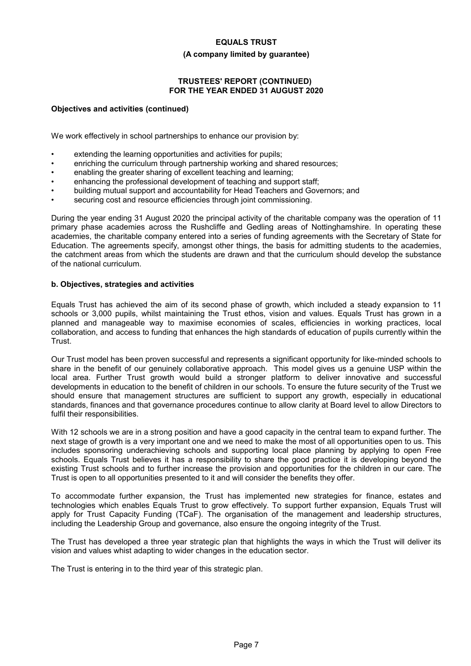#### **(A company limited by guarantee)**

# **TRUSTEES' REPORT (CONTINUED) FOR THE YEAR ENDED 31 AUGUST 2020**

### **Objectives and activities (continued)**

We work effectively in school partnerships to enhance our provision by:

- extending the learning opportunities and activities for pupils;
- enriching the curriculum through partnership working and shared resources;
- enabling the greater sharing of excellent teaching and learning;
- enhancing the professional development of teaching and support staff;
- building mutual support and accountability for Head Teachers and Governors; and
- securing cost and resource efficiencies through joint commissioning.

During the year ending 31 August 2020 the principal activity of the charitable company was the operation of 11 primary phase academies across the Rushcliffe and Gedling areas of Nottinghamshire. In operating these academies, the charitable company entered into a series of funding agreements with the Secretary of State for Education. The agreements specify, amongst other things, the basis for admitting students to the academies, the catchment areas from which the students are drawn and that the curriculum should develop the substance of the national curriculum.

#### **b. Objectives, strategies and activities**

Equals Trust has achieved the aim of its second phase of growth, which included a steady expansion to 11 schools or 3,000 pupils, whilst maintaining the Trust ethos, vision and values. Equals Trust has grown in a planned and manageable way to maximise economies of scales, efficiencies in working practices, local collaboration, and access to funding that enhances the high standards of education of pupils currently within the Trust.

Our Trust model has been proven successful and represents a significant opportunity for like-minded schools to share in the benefit of our genuinely collaborative approach. This model gives us a genuine USP within the local area. Further Trust growth would build a stronger platform to deliver innovative and successful developments in education to the benefit of children in our schools. To ensure the future security of the Trust we should ensure that management structures are sufficient to support any growth, especially in educational standards, finances and that governance procedures continue to allow clarity at Board level to allow Directors to fulfil their responsibilities.

With 12 schools we are in a strong position and have a good capacity in the central team to expand further. The next stage of growth is a very important one and we need to make the most of all opportunities open to us. This includes sponsoring underachieving schools and supporting local place planning by applying to open Free schools. Equals Trust believes it has a responsibility to share the good practice it is developing beyond the existing Trust schools and to further increase the provision and opportunities for the children in our care. The Trust is open to all opportunities presented to it and will consider the benefits they offer.

To accommodate further expansion, the Trust has implemented new strategies for finance, estates and technologies which enables Equals Trust to grow effectively. To support further expansion, Equals Trust will apply for Trust Capacity Funding (TCaF). The organisation of the management and leadership structures, including the Leadership Group and governance, also ensure the ongoing integrity of the Trust.

The Trust has developed a three year strategic plan that highlights the ways in which the Trust will deliver its vision and values whist adapting to wider changes in the education sector.

The Trust is entering in to the third year of this strategic plan.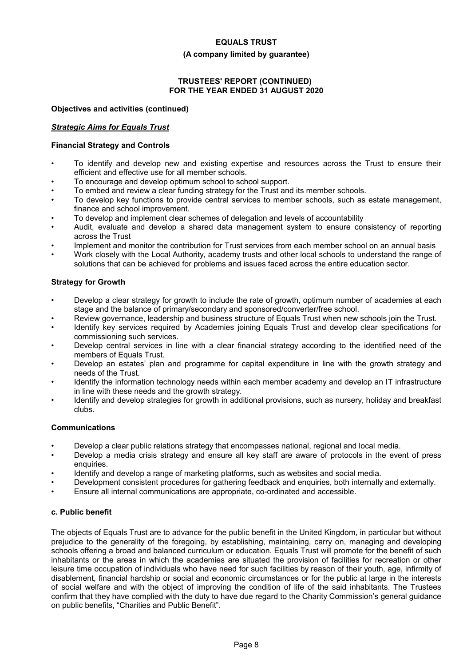#### **(A company limited by guarantee)**

# **TRUSTEES' REPORT (CONTINUED) FOR THE YEAR ENDED 31 AUGUST 2020**

# **Objectives and activities (continued)**

# *Strategic Aims for Equals Trust*

# **Financial Strategy and Controls**

- To identify and develop new and existing expertise and resources across the Trust to ensure their efficient and effective use for all member schools.
- To encourage and develop optimum school to school support.
- To embed and review a clear funding strategy for the Trust and its member schools.
- To develop key functions to provide central services to member schools, such as estate management, finance and school improvement.
- To develop and implement clear schemes of delegation and levels of accountability
- Audit, evaluate and develop a shared data management system to ensure consistency of reporting across the Trust
- Implement and monitor the contribution for Trust services from each member school on an annual basis
- Work closely with the Local Authority, academy trusts and other local schools to understand the range of solutions that can be achieved for problems and issues faced across the entire education sector.

# **Strategy for Growth**

- Develop a clear strategy for growth to include the rate of growth, optimum number of academies at each stage and the balance of primary/secondary and sponsored/converter/free school.
- Review governance, leadership and business structure of Equals Trust when new schools join the Trust.
- Identify key services required by Academies joining Equals Trust and develop clear specifications for commissioning such services.
- Develop central services in line with a clear financial strategy according to the identified need of the members of Equals Trust.
- Develop an estates' plan and programme for capital expenditure in line with the growth strategy and needs of the Trust.
- Identify the information technology needs within each member academy and develop an IT infrastructure in line with these needs and the growth strategy.
- Identify and develop strategies for growth in additional provisions, such as nursery, holiday and breakfast clubs.

# **Communications**

- Develop a clear public relations strategy that encompasses national, regional and local media.
- Develop a media crisis strategy and ensure all key staff are aware of protocols in the event of press enquiries.
- Identify and develop a range of marketing platforms, such as websites and social media.
- Development consistent procedures for gathering feedback and enquiries, both internally and externally.
- Ensure all internal communications are appropriate, co-ordinated and accessible.

# **c. Public benefit**

The objects of Equals Trust are to advance for the public benefit in the United Kingdom, in particular but without prejudice to the generality of the foregoing, by establishing, maintaining, carry on, managing and developing schools offering a broad and balanced curriculum or education. Equals Trust will promote for the benefit of such inhabitants or the areas in which the academies are situated the provision of facilities for recreation or other leisure time occupation of individuals who have need for such facilities by reason of their youth, age, infirmity of disablement, financial hardship or social and economic circumstances or for the public at large in the interests of social welfare and with the object of improving the condition of life of the said inhabitants. The Trustees confirm that they have complied with the duty to have due regard to the Charity Commission's general guidance on public benefits, "Charities and Public Benefit".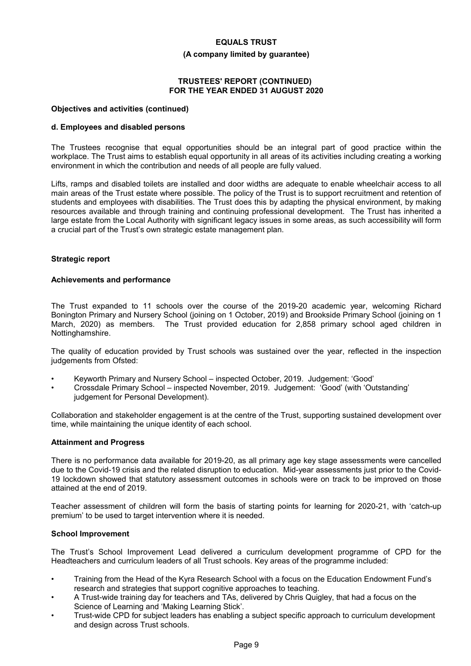#### **(A company limited by guarantee)**

## **TRUSTEES' REPORT (CONTINUED) FOR THE YEAR ENDED 31 AUGUST 2020**

#### **Objectives and activities (continued)**

#### **d. Employees and disabled persons**

The Trustees recognise that equal opportunities should be an integral part of good practice within the workplace. The Trust aims to establish equal opportunity in all areas of its activities including creating a working environment in which the contribution and needs of all people are fully valued.

Lifts, ramps and disabled toilets are installed and door widths are adequate to enable wheelchair access to all main areas of the Trust estate where possible. The policy of the Trust is to support recruitment and retention of students and employees with disabilities. The Trust does this by adapting the physical environment, by making resources available and through training and continuing professional development. The Trust has inherited a large estate from the Local Authority with significant legacy issues in some areas, as such accessibility will form a crucial part of the Trust's own strategic estate management plan.

#### **Strategic report**

#### **Achievements and performance**

The Trust expanded to 11 schools over the course of the 2019-20 academic year, welcoming Richard Bonington Primary and Nursery School (joining on 1 October, 2019) and Brookside Primary School (joining on 1 March, 2020) as members. The Trust provided education for 2,858 primary school aged children in Nottinghamshire.

The quality of education provided by Trust schools was sustained over the year, reflected in the inspection judgements from Ofsted:

- Keyworth Primary and Nursery School inspected October, 2019. Judgement: 'Good'
- Crossdale Primary School inspected November, 2019. Judgement: 'Good' (with 'Outstanding' judgement for Personal Development).

Collaboration and stakeholder engagement is at the centre of the Trust, supporting sustained development over time, while maintaining the unique identity of each school.

#### **Attainment and Progress**

There is no performance data available for 2019-20, as all primary age key stage assessments were cancelled due to the Covid-19 crisis and the related disruption to education. Mid-year assessments just prior to the Covid-19 lockdown showed that statutory assessment outcomes in schools were on track to be improved on those attained at the end of 2019.

Teacher assessment of children will form the basis of starting points for learning for 2020-21, with 'catch-up premium' to be used to target intervention where it is needed.

#### **School Improvement**

The Trust's School Improvement Lead delivered a curriculum development programme of CPD for the Headteachers and curriculum leaders of all Trust schools. Key areas of the programme included:

- Training from the Head of the Kyra Research School with a focus on the Education Endowment Fund's research and strategies that support cognitive approaches to teaching.
- A Trust-wide training day for teachers and TAs, delivered by Chris Quigley, that had a focus on the Science of Learning and 'Making Learning Stick'.
- Trust-wide CPD for subject leaders has enabling a subject specific approach to curriculum development and design across Trust schools.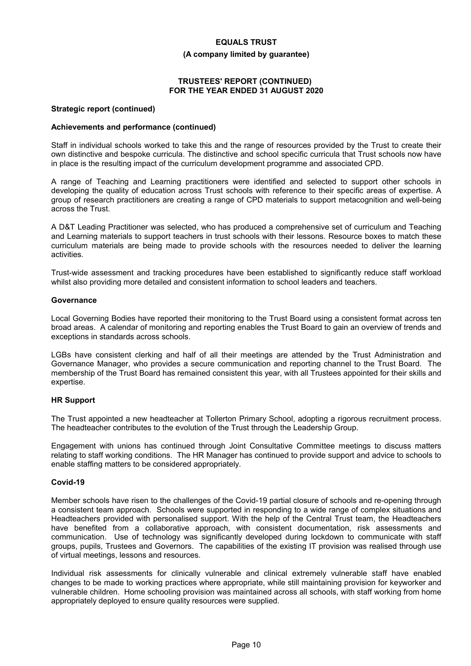#### **(A company limited by guarantee)**

### **TRUSTEES' REPORT (CONTINUED) FOR THE YEAR ENDED 31 AUGUST 2020**

#### **Strategic report (continued)**

#### **Achievements and performance (continued)**

Staff in individual schools worked to take this and the range of resources provided by the Trust to create their own distinctive and bespoke curricula. The distinctive and school specific curricula that Trust schools now have in place is the resulting impact of the curriculum development programme and associated CPD.

A range of Teaching and Learning practitioners were identified and selected to support other schools in developing the quality of education across Trust schools with reference to their specific areas of expertise. A group of research practitioners are creating a range of CPD materials to support metacognition and well-being across the Trust.

A D&T Leading Practitioner was selected, who has produced a comprehensive set of curriculum and Teaching and Learning materials to support teachers in trust schools with their lessons. Resource boxes to match these curriculum materials are being made to provide schools with the resources needed to deliver the learning activities.

Trust-wide assessment and tracking procedures have been established to significantly reduce staff workload whilst also providing more detailed and consistent information to school leaders and teachers.

#### **Governance**

Local Governing Bodies have reported their monitoring to the Trust Board using a consistent format across ten broad areas. A calendar of monitoring and reporting enables the Trust Board to gain an overview of trends and exceptions in standards across schools.

LGBs have consistent clerking and half of all their meetings are attended by the Trust Administration and Governance Manager, who provides a secure communication and reporting channel to the Trust Board. The membership of the Trust Board has remained consistent this year, with all Trustees appointed for their skills and expertise.

#### **HR Support**

The Trust appointed a new headteacher at Tollerton Primary School, adopting a rigorous recruitment process. The headteacher contributes to the evolution of the Trust through the Leadership Group.

Engagement with unions has continued through Joint Consultative Committee meetings to discuss matters relating to staff working conditions. The HR Manager has continued to provide support and advice to schools to enable staffing matters to be considered appropriately.

# **Covid-19**

Member schools have risen to the challenges of the Covid-19 partial closure of schools and re-opening through a consistent team approach. Schools were supported in responding to a wide range of complex situations and Headteachers provided with personalised support. With the help of the Central Trust team, the Headteachers have benefited from a collaborative approach, with consistent documentation, risk assessments and communication. Use of technology was significantly developed during lockdown to communicate with staff groups, pupils, Trustees and Governors. The capabilities of the existing IT provision was realised through use of virtual meetings, lessons and resources.

Individual risk assessments for clinically vulnerable and clinical extremely vulnerable staff have enabled changes to be made to working practices where appropriate, while still maintaining provision for keyworker and vulnerable children. Home schooling provision was maintained across all schools, with staff working from home appropriately deployed to ensure quality resources were supplied.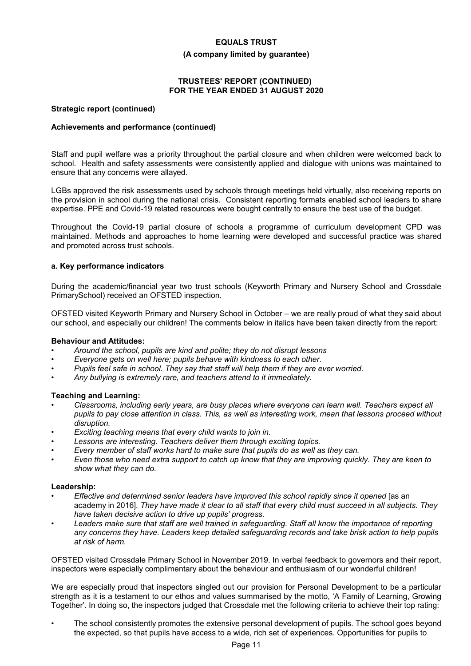#### **(A company limited by guarantee)**

# **TRUSTEES' REPORT (CONTINUED) FOR THE YEAR ENDED 31 AUGUST 2020**

### **Strategic report (continued)**

# **Achievements and performance (continued)**

Staff and pupil welfare was a priority throughout the partial closure and when children were welcomed back to school. Health and safety assessments were consistently applied and dialogue with unions was maintained to ensure that any concerns were allayed.

LGBs approved the risk assessments used by schools through meetings held virtually, also receiving reports on the provision in school during the national crisis. Consistent reporting formats enabled school leaders to share expertise. PPE and Covid-19 related resources were bought centrally to ensure the best use of the budget.

Throughout the Covid-19 partial closure of schools a programme of curriculum development CPD was maintained. Methods and approaches to home learning were developed and successful practice was shared and promoted across trust schools.

# **a. Key performance indicators**

During the academic/financial year two trust schools (Keyworth Primary and Nursery School and Crossdale PrimarySchool) received an OFSTED inspection.

OFSTED visited Keyworth Primary and Nursery School in October – we are really proud of what they said about our school, and especially our children! The comments below in italics have been taken directly from the report:

# **Behaviour and Attitudes:**

- *• Around the school, pupils are kind and polite; they do not disrupt lessons*
- *• Everyone gets on well here; pupils behave with kindness to each other.*
- *• Pupils feel safe in school. They say that staff will help them if they are ever worried.*
- *• Any bullying is extremely rare, and teachers attend to it immediately.*

# **Teaching and Learning:**

- *• Classrooms, including early years, are busy places where everyone can learn well. Teachers expect all pupils to pay close attention in class. This, as well as interesting work, mean that lessons proceed without disruption.*
- *• Exciting teaching means that every child wants to join in.*
- *• Lessons are interesting. Teachers deliver them through exciting topics.*
- *• Every member of staff works hard to make sure that pupils do as well as they can.*
- *• Even those who need extra support to catch up know that they are improving quickly. They are keen to show what they can do.*

#### **Leadership:**

- *• Effective and determined senior leaders have improved this school rapidly since it opened* [as an academy in 2016]*. They have made it clear to all staff that every child must succeed in all subjects. They have taken decisive action to drive up pupils' progress.*
- *• Leaders make sure that staff are well trained in safeguarding. Staff all know the importance of reporting any concerns they have. Leaders keep detailed safeguarding records and take brisk action to help pupils at risk of harm.*

OFSTED visited Crossdale Primary School in November 2019. In verbal feedback to governors and their report, inspectors were especially complimentary about the behaviour and enthusiasm of our wonderful children!

We are especially proud that inspectors singled out our provision for Personal Development to be a particular strength as it is a testament to our ethos and values summarised by the motto, 'A Family of Learning, Growing Together'. In doing so, the inspectors judged that Crossdale met the following criteria to achieve their top rating:

• The school consistently promotes the extensive personal development of pupils. The school goes beyond the expected, so that pupils have access to a wide, rich set of experiences. Opportunities for pupils to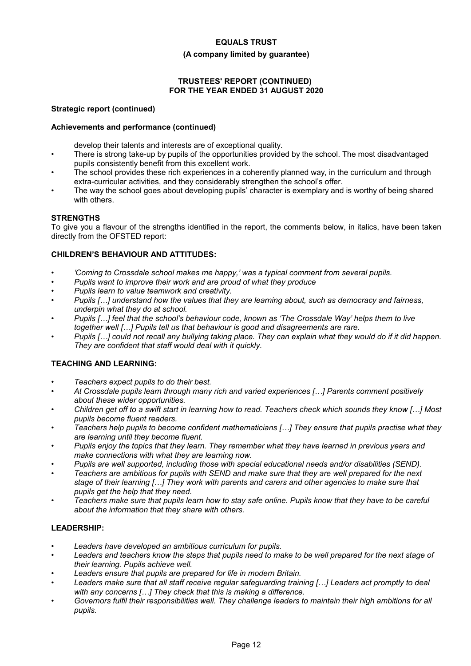## **(A company limited by guarantee)**

# **TRUSTEES' REPORT (CONTINUED) FOR THE YEAR ENDED 31 AUGUST 2020**

# **Strategic report (continued)**

# **Achievements and performance (continued)**

develop their talents and interests are of exceptional quality.

- There is strong take-up by pupils of the opportunities provided by the school. The most disadvantaged pupils consistently benefit from this excellent work.
- The school provides these rich experiences in a coherently planned way, in the curriculum and through extra-curricular activities, and they considerably strengthen the school's offer.
- The way the school goes about developing pupils' character is exemplary and is worthy of being shared with others.

# **STRENGTHS**

To give you a flavour of the strengths identified in the report, the comments below, in italics, have been taken directly from the OFSTED report:

# **CHILDREN'S BEHAVIOUR AND ATTITUDES:**

- *• 'Coming to Crossdale school makes me happy,' was a typical comment from several pupils.*
- *• Pupils want to improve their work and are proud of what they produce*
- *• Pupils learn to value teamwork and creativity.*
- *• Pupils […] understand how the values that they are learning about, such as democracy and fairness, underpin what they do at school.*
- *• Pupils […] feel that the school's behaviour code, known as 'The Crossdale Way' helps them to live together well […] Pupils tell us that behaviour is good and disagreements are rare.*
- *• Pupils […] could not recall any bullying taking place. They can explain what they would do if it did happen. They are confident that staff would deal with it quickly.*

# **TEACHING AND LEARNING:**

- *• Teachers expect pupils to do their best.*
- *• At Crossdale pupils learn through many rich and varied experiences […] Parents comment positively about these wider opportunities.*
- *• Children get off to a swift start in learning how to read. Teachers check which sounds they know […] Most pupils become fluent readers.*
- *• Teachers help pupils to become confident mathematicians […] They ensure that pupils practise what they are learning until they become fluent.*
- *• Pupils enjoy the topics that they learn. They remember what they have learned in previous years and make connections with what they are learning now.*
- *• Pupils are well supported, including those with special educational needs and/or disabilities (SEND).*
- *• Teachers are ambitious for pupils with SEND and make sure that they are well prepared for the next stage of their learning […] They work with parents and carers and other agencies to make sure that pupils get the help that they need.*
- *• Teachers make sure that pupils learn how to stay safe online. Pupils know that they have to be careful about the information that they share with others.*

# **LEADERSHIP:**

- *Leaders have developed an ambitious curriculum for pupils.*
- *• Leaders and teachers know the steps that pupils need to make to be well prepared for the next stage of their learning. Pupils achieve well.*
- *• Leaders ensure that pupils are prepared for life in modern Britain.*
- *• Leaders make sure that all staff receive regular safeguarding training […] Leaders act promptly to deal with any concerns […] They check that this is making a difference.*
- *• Governors fulfil their responsibilities well. They challenge leaders to maintain their high ambitions for all pupils.*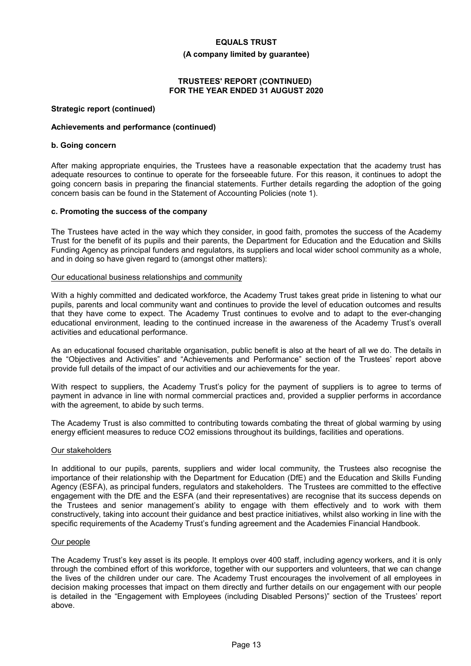#### **(A company limited by guarantee)**

# **TRUSTEES' REPORT (CONTINUED) FOR THE YEAR ENDED 31 AUGUST 2020**

## **Strategic report (continued)**

# **Achievements and performance (continued)**

# **b. Going concern**

After making appropriate enquiries, the Trustees have a reasonable expectation that the academy trust has adequate resources to continue to operate for the forseeable future. For this reason, it continues to adopt the going concern basis in preparing the financial statements. Further details regarding the adoption of the going concern basis can be found in the Statement of Accounting Policies (note 1).

# **c. Promoting the success of the company**

The Trustees have acted in the way which they consider, in good faith, promotes the success of the Academy Trust for the benefit of its pupils and their parents, the Department for Education and the Education and Skills Funding Agency as principal funders and regulators, its suppliers and local wider school community as a whole, and in doing so have given regard to (amongst other matters):

### Our educational business relationships and community

With a highly committed and dedicated workforce, the Academy Trust takes great pride in listening to what our pupils, parents and local community want and continues to provide the level of education outcomes and results that they have come to expect. The Academy Trust continues to evolve and to adapt to the ever-changing educational environment, leading to the continued increase in the awareness of the Academy Trust's overall activities and educational performance.

As an educational focused charitable organisation, public benefit is also at the heart of all we do. The details in the "Objectives and Activities" and "Achievements and Performance" section of the Trustees' report above provide full details of the impact of our activities and our achievements for the year.

With respect to suppliers, the Academy Trust's policy for the payment of suppliers is to agree to terms of payment in advance in line with normal commercial practices and, provided a supplier performs in accordance with the agreement, to abide by such terms.

The Academy Trust is also committed to contributing towards combating the threat of global warming by using energy efficient measures to reduce CO2 emissions throughout its buildings, facilities and operations.

#### Our stakeholders

In additional to our pupils, parents, suppliers and wider local community, the Trustees also recognise the importance of their relationship with the Department for Education (DfE) and the Education and Skills Funding Agency (ESFA), as principal funders, regulators and stakeholders. The Trustees are committed to the effective engagement with the DfE and the ESFA (and their representatives) are recognise that its success depends on the Trustees and senior management's ability to engage with them effectively and to work with them constructively, taking into account their guidance and best practice initiatives, whilst also working in line with the specific requirements of the Academy Trust's funding agreement and the Academies Financial Handbook.

#### Our people

The Academy Trust's key asset is its people. It employs over 400 staff, including agency workers, and it is only through the combined effort of this workforce, together with our supporters and volunteers, that we can change the lives of the children under our care. The Academy Trust encourages the involvement of all employees in decision making processes that impact on them directly and further details on our engagement with our people is detailed in the "Engagement with Employees (including Disabled Persons)" section of the Trustees' report above.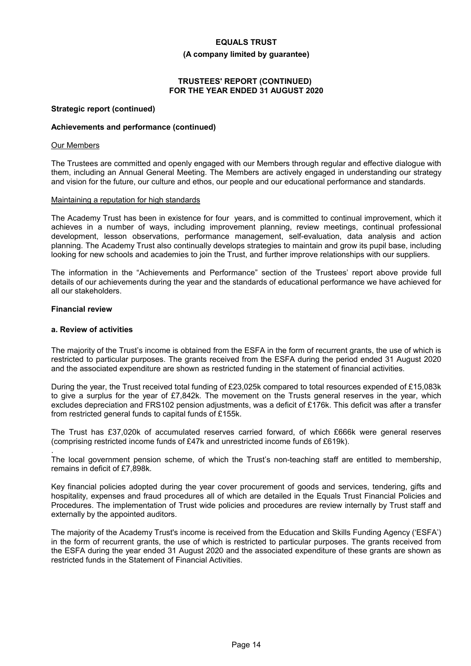#### **(A company limited by guarantee)**

# **TRUSTEES' REPORT (CONTINUED) FOR THE YEAR ENDED 31 AUGUST 2020**

### **Strategic report (continued)**

### **Achievements and performance (continued)**

### Our Members

The Trustees are committed and openly engaged with our Members through regular and effective dialogue with them, including an Annual General Meeting. The Members are actively engaged in understanding our strategy and vision for the future, our culture and ethos, our people and our educational performance and standards.

#### Maintaining a reputation for high standards

The Academy Trust has been in existence for four years, and is committed to continual improvement, which it achieves in a number of ways, including improvement planning, review meetings, continual professional development, lesson observations, performance management, self-evaluation, data analysis and action planning. The Academy Trust also continually develops strategies to maintain and grow its pupil base, including looking for new schools and academies to join the Trust, and further improve relationships with our suppliers.

The information in the "Achievements and Performance" section of the Trustees' report above provide full details of our achievements during the year and the standards of educational performance we have achieved for all our stakeholders.

# **Financial review**

.

### **a. Review of activities**

The majority of the Trust's income is obtained from the ESFA in the form of recurrent grants, the use of which is restricted to particular purposes. The grants received from the ESFA during the period ended 31 August 2020 and the associated expenditure are shown as restricted funding in the statement of financial activities.

During the year, the Trust received total funding of £23,025k compared to total resources expended of £15,083k to give a surplus for the year of £7,842k. The movement on the Trusts general reserves in the year, which excludes depreciation and FRS102 pension adjustments, was a deficit of £176k. This deficit was after a transfer from restricted general funds to capital funds of £155k.

The Trust has £37,020k of accumulated reserves carried forward, of which £666k were general reserves (comprising restricted income funds of £47k and unrestricted income funds of £619k).

The local government pension scheme, of which the Trust's non-teaching staff are entitled to membership, remains in deficit of £7,898k.

Key financial policies adopted during the year cover procurement of goods and services, tendering, gifts and hospitality, expenses and fraud procedures all of which are detailed in the Equals Trust Financial Policies and Procedures. The implementation of Trust wide policies and procedures are review internally by Trust staff and externally by the appointed auditors.

The majority of the Academy Trust's income is received from the Education and Skills Funding Agency ('ESFA') in the form of recurrent grants, the use of which is restricted to particular purposes. The grants received from the ESFA during the year ended 31 August 2020 and the associated expenditure of these grants are shown as restricted funds in the Statement of Financial Activities.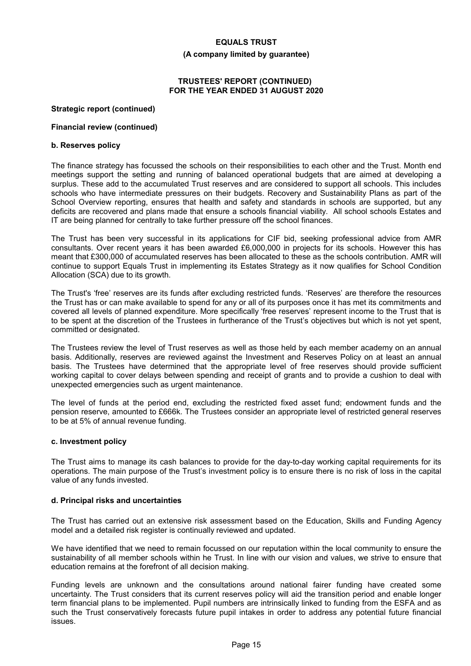#### **(A company limited by guarantee)**

### **TRUSTEES' REPORT (CONTINUED) FOR THE YEAR ENDED 31 AUGUST 2020**

# **Strategic report (continued)**

# **Financial review (continued)**

### **b. Reserves policy**

The finance strategy has focussed the schools on their responsibilities to each other and the Trust. Month end meetings support the setting and running of balanced operational budgets that are aimed at developing a surplus. These add to the accumulated Trust reserves and are considered to support all schools. This includes schools who have intermediate pressures on their budgets. Recovery and Sustainability Plans as part of the School Overview reporting, ensures that health and safety and standards in schools are supported, but any deficits are recovered and plans made that ensure a schools financial viability. All school schools Estates and IT are being planned for centrally to take further pressure off the school finances.

The Trust has been very successful in its applications for CIF bid, seeking professional advice from AMR consultants. Over recent years it has been awarded £6,000,000 in projects for its schools. However this has meant that £300,000 of accumulated reserves has been allocated to these as the schools contribution. AMR will continue to support Equals Trust in implementing its Estates Strategy as it now qualifies for School Condition Allocation (SCA) due to its growth.

The Trust's 'free' reserves are its funds after excluding restricted funds. 'Reserves' are therefore the resources the Trust has or can make available to spend for any or all of its purposes once it has met its commitments and covered all levels of planned expenditure. More specifically 'free reserves' represent income to the Trust that is to be spent at the discretion of the Trustees in furtherance of the Trust's objectives but which is not yet spent, committed or designated.

The Trustees review the level of Trust reserves as well as those held by each member academy on an annual basis. Additionally, reserves are reviewed against the Investment and Reserves Policy on at least an annual basis. The Trustees have determined that the appropriate level of free reserves should provide sufficient working capital to cover delays between spending and receipt of grants and to provide a cushion to deal with unexpected emergencies such as urgent maintenance.

The level of funds at the period end, excluding the restricted fixed asset fund; endowment funds and the pension reserve, amounted to £666k. The Trustees consider an appropriate level of restricted general reserves to be at 5% of annual revenue funding.

#### **c. Investment policy**

The Trust aims to manage its cash balances to provide for the day-to-day working capital requirements for its operations. The main purpose of the Trust's investment policy is to ensure there is no risk of loss in the capital value of any funds invested.

#### **d. Principal risks and uncertainties**

The Trust has carried out an extensive risk assessment based on the Education, Skills and Funding Agency model and a detailed risk register is continually reviewed and updated.

We have identified that we need to remain focussed on our reputation within the local community to ensure the sustainability of all member schools within he Trust. In line with our vision and values, we strive to ensure that education remains at the forefront of all decision making.

Funding levels are unknown and the consultations around national fairer funding have created some uncertainty. The Trust considers that its current reserves policy will aid the transition period and enable longer term financial plans to be implemented. Pupil numbers are intrinsically linked to funding from the ESFA and as such the Trust conservatively forecasts future pupil intakes in order to address any potential future financial issues.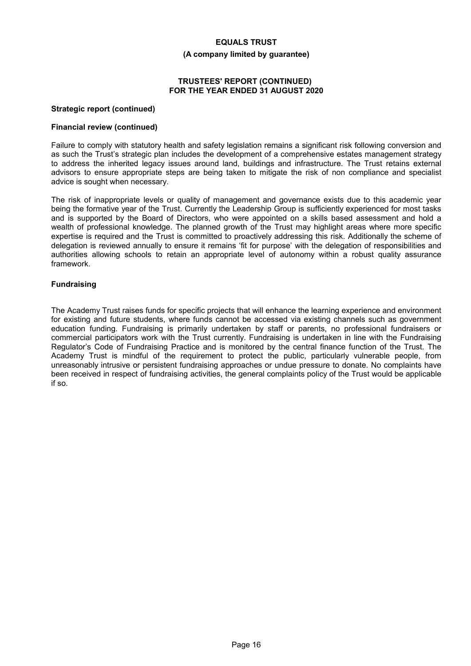#### **(A company limited by guarantee)**

## **TRUSTEES' REPORT (CONTINUED) FOR THE YEAR ENDED 31 AUGUST 2020**

#### **Strategic report (continued)**

#### **Financial review (continued)**

Failure to comply with statutory health and safety legislation remains a significant risk following conversion and as such the Trust's strategic plan includes the development of a comprehensive estates management strategy to address the inherited legacy issues around land, buildings and infrastructure. The Trust retains external advisors to ensure appropriate steps are being taken to mitigate the risk of non compliance and specialist advice is sought when necessary.

The risk of inappropriate levels or quality of management and governance exists due to this academic year being the formative year of the Trust. Currently the Leadership Group is sufficiently experienced for most tasks and is supported by the Board of Directors, who were appointed on a skills based assessment and hold a wealth of professional knowledge. The planned growth of the Trust may highlight areas where more specific expertise is required and the Trust is committed to proactively addressing this risk. Additionally the scheme of delegation is reviewed annually to ensure it remains 'fit for purpose' with the delegation of responsibilities and authorities allowing schools to retain an appropriate level of autonomy within a robust quality assurance framework.

# **Fundraising**

The Academy Trust raises funds for specific projects that will enhance the learning experience and environment for existing and future students, where funds cannot be accessed via existing channels such as government education funding. Fundraising is primarily undertaken by staff or parents, no professional fundraisers or commercial participators work with the Trust currently. Fundraising is undertaken in line with the Fundraising Regulator's Code of Fundraising Practice and is monitored by the central finance function of the Trust. The Academy Trust is mindful of the requirement to protect the public, particularly vulnerable people, from unreasonably intrusive or persistent fundraising approaches or undue pressure to donate. No complaints have been received in respect of fundraising activities, the general complaints policy of the Trust would be applicable if so.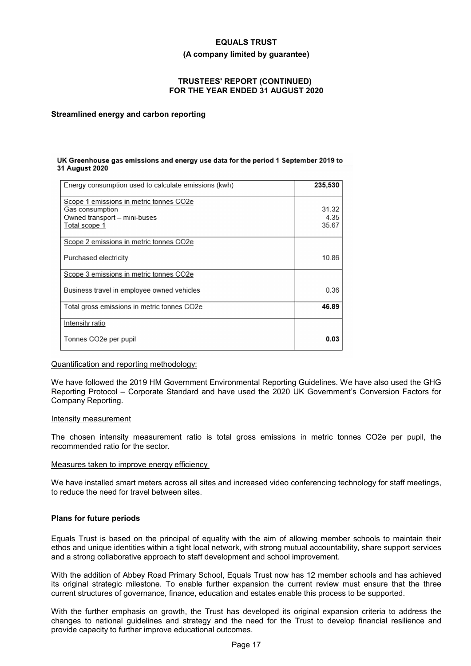#### **(A company limited by guarantee)**

# **TRUSTEES' REPORT (CONTINUED) FOR THE YEAR ENDED 31 AUGUST 2020**

### **Streamlined energy and carbon reporting**

#### UK Greenhouse gas emissions and energy use data for the period 1 September 2019 to 31 August 2020

| Energy consumption used to calculate emissions (kwh)                                                        | 235.530               |
|-------------------------------------------------------------------------------------------------------------|-----------------------|
| Scope 1 emissions in metric tonnes CO2e<br>Gas consumption<br>Owned transport - mini-buses<br>Total scope 1 | 31 32<br>4.35<br>3567 |
| Scope 2 emissions in metric tonnes CO2e                                                                     |                       |
| Purchased electricity                                                                                       | 10.86                 |
| Scope 3 emissions in metric tonnes CO2e                                                                     |                       |
| Business travel in employee owned vehicles                                                                  | 0.36                  |
| Total gross emissions in metric tonnes CO2e                                                                 | 46.89                 |
| Intensity ratio                                                                                             |                       |
| Tonnes CO2e per pupil                                                                                       | 0.03                  |

#### Quantification and reporting methodology:

We have followed the 2019 HM Government Environmental Reporting Guidelines. We have also used the GHG Reporting Protocol – Corporate Standard and have used the 2020 UK Government's Conversion Factors for Company Reporting.

#### Intensity measurement

The chosen intensity measurement ratio is total gross emissions in metric tonnes CO2e per pupil, the recommended ratio for the sector.

#### Measures taken to improve energy efficiency

We have installed smart meters across all sites and increased video conferencing technology for staff meetings, to reduce the need for travel between sites.

#### **Plans for future periods**

Equals Trust is based on the principal of equality with the aim of allowing member schools to maintain their ethos and unique identities within a tight local network, with strong mutual accountability, share support services and a strong collaborative approach to staff development and school improvement.

With the addition of Abbey Road Primary School, Equals Trust now has 12 member schools and has achieved its original strategic milestone. To enable further expansion the current review must ensure that the three current structures of governance, finance, education and estates enable this process to be supported.

With the further emphasis on growth, the Trust has developed its original expansion criteria to address the changes to national guidelines and strategy and the need for the Trust to develop financial resilience and provide capacity to further improve educational outcomes.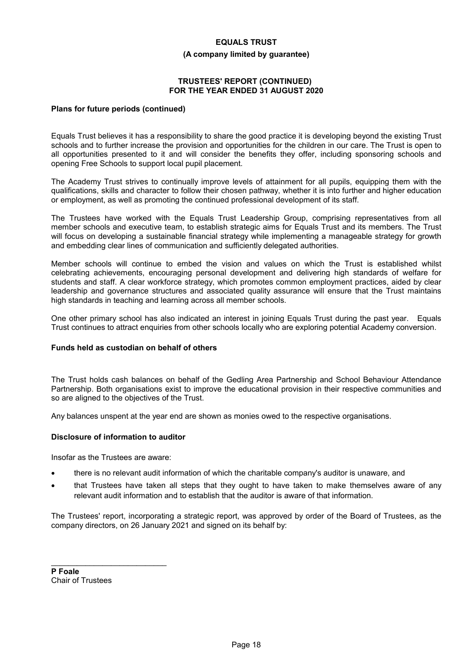#### **(A company limited by guarantee)**

## **TRUSTEES' REPORT (CONTINUED) FOR THE YEAR ENDED 31 AUGUST 2020**

### **Plans for future periods (continued)**

Equals Trust believes it has a responsibility to share the good practice it is developing beyond the existing Trust schools and to further increase the provision and opportunities for the children in our care. The Trust is open to all opportunities presented to it and will consider the benefits they offer, including sponsoring schools and opening Free Schools to support local pupil placement.

The Academy Trust strives to continually improve levels of attainment for all pupils, equipping them with the qualifications, skills and character to follow their chosen pathway, whether it is into further and higher education or employment, as well as promoting the continued professional development of its staff.

The Trustees have worked with the Equals Trust Leadership Group, comprising representatives from all member schools and executive team, to establish strategic aims for Equals Trust and its members. The Trust will focus on developing a sustainable financial strategy while implementing a manageable strategy for growth and embedding clear lines of communication and sufficiently delegated authorities.

Member schools will continue to embed the vision and values on which the Trust is established whilst celebrating achievements, encouraging personal development and delivering high standards of welfare for students and staff. A clear workforce strategy, which promotes common employment practices, aided by clear leadership and governance structures and associated quality assurance will ensure that the Trust maintains high standards in teaching and learning across all member schools.

One other primary school has also indicated an interest in joining Equals Trust during the past year. Equals Trust continues to attract enquiries from other schools locally who are exploring potential Academy conversion.

# **Funds held as custodian on behalf of others**

The Trust holds cash balances on behalf of the Gedling Area Partnership and School Behaviour Attendance Partnership. Both organisations exist to improve the educational provision in their respective communities and so are aligned to the objectives of the Trust.

Any balances unspent at the year end are shown as monies owed to the respective organisations.

#### **Disclosure of information to auditor**

Insofar as the Trustees are aware:

\_\_\_\_\_\_\_\_\_\_\_\_\_\_\_\_\_\_\_\_\_\_\_\_\_\_\_

- there is no relevant audit information of which the charitable company's auditor is unaware, and
- that Trustees have taken all steps that they ought to have taken to make themselves aware of any relevant audit information and to establish that the auditor is aware of that information.

The Trustees' report, incorporating a strategic report, was approved by order of the Board of Trustees, as the company directors, on 26 January 2021 and signed on its behalf by:

**P Foale** Chair of Trustees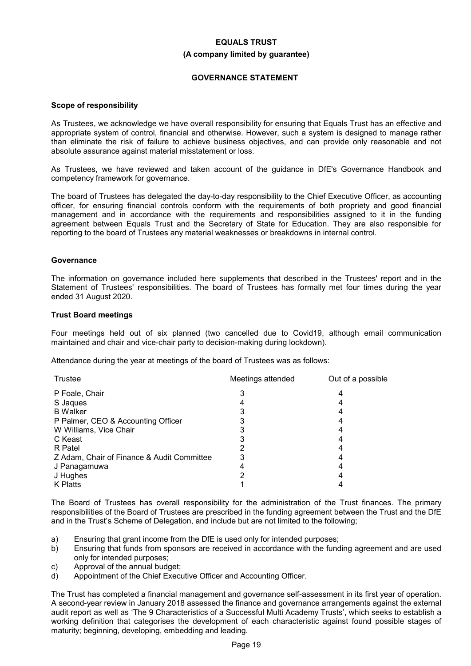# **(A company limited by guarantee)**

# **GOVERNANCE STATEMENT**

#### **Scope of responsibility**

As Trustees, we acknowledge we have overall responsibility for ensuring that Equals Trust has an effective and appropriate system of control, financial and otherwise. However, such a system is designed to manage rather than eliminate the risk of failure to achieve business objectives, and can provide only reasonable and not absolute assurance against material misstatement or loss.

As Trustees, we have reviewed and taken account of the guidance in DfE's Governance Handbook and competency framework for governance.

The board of Trustees has delegated the day-to-day responsibility to the Chief Executive Officer, as accounting officer, for ensuring financial controls conform with the requirements of both propriety and good financial management and in accordance with the requirements and responsibilities assigned to it in the funding agreement between Equals Trust and the Secretary of State for Education. They are also responsible for reporting to the board of Trustees any material weaknesses or breakdowns in internal control.

# **Governance**

The information on governance included here supplements that described in the Trustees' report and in the Statement of Trustees' responsibilities. The board of Trustees has formally met four times during the year ended 31 August 2020.

# **Trust Board meetings**

Four meetings held out of six planned (two cancelled due to Covid19, although email communication maintained and chair and vice-chair party to decision-making during lockdown).

Attendance during the year at meetings of the board of Trustees was as follows:

| <b>Trustee</b>                             | Meetings attended | Out of a possible |
|--------------------------------------------|-------------------|-------------------|
| P Foale, Chair                             |                   |                   |
| S Jaques                                   |                   |                   |
| <b>B</b> Walker                            |                   |                   |
| P Palmer, CEO & Accounting Officer         |                   |                   |
| W Williams, Vice Chair                     |                   |                   |
| C Keast                                    |                   |                   |
| R Patel                                    |                   |                   |
| Z Adam, Chair of Finance & Audit Committee |                   |                   |
| J Panagamuwa                               |                   |                   |
| J Hughes                                   |                   |                   |
| K Platts                                   |                   |                   |

The Board of Trustees has overall responsibility for the administration of the Trust finances. The primary responsibilities of the Board of Trustees are prescribed in the funding agreement between the Trust and the DfE and in the Trust's Scheme of Delegation, and include but are not limited to the following;

- a) Ensuring that grant income from the DfE is used only for intended purposes;
- b) Ensuring that funds from sponsors are received in accordance with the funding agreement and are used only for intended purposes;
- c) Approval of the annual budget;
- d) Appointment of the Chief Executive Officer and Accounting Officer.

The Trust has completed a financial management and governance self-assessment in its first year of operation. A second-year review in January 2018 assessed the finance and governance arrangements against the external audit report as well as 'The 9 Characteristics of a Successful Multi Academy Trusts', which seeks to establish a working definition that categorises the development of each characteristic against found possible stages of maturity; beginning, developing, embedding and leading.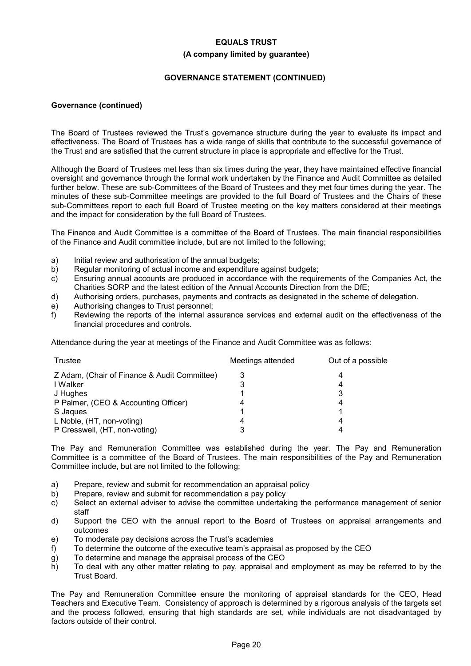# **(A company limited by guarantee)**

# **GOVERNANCE STATEMENT (CONTINUED)**

### **Governance (continued)**

The Board of Trustees reviewed the Trust's governance structure during the year to evaluate its impact and effectiveness. The Board of Trustees has a wide range of skills that contribute to the successful governance of the Trust and are satisfied that the current structure in place is appropriate and effective for the Trust.

Although the Board of Trustees met less than six times during the year, they have maintained effective financial oversight and governance through the formal work undertaken by the Finance and Audit Committee as detailed further below. These are sub-Committees of the Board of Trustees and they met four times during the year. The minutes of these sub-Committee meetings are provided to the full Board of Trustees and the Chairs of these sub-Committees report to each full Board of Trustee meeting on the key matters considered at their meetings and the impact for consideration by the full Board of Trustees.

The Finance and Audit Committee is a committee of the Board of Trustees. The main financial responsibilities of the Finance and Audit committee include, but are not limited to the following;

- a) Initial review and authorisation of the annual budgets;
- b) Regular monitoring of actual income and expenditure against budgets;
- c) Ensuring annual accounts are produced in accordance with the requirements of the Companies Act, the Charities SORP and the latest edition of the Annual Accounts Direction from the DfE;
- d) Authorising orders, purchases, payments and contracts as designated in the scheme of delegation.
- e) Authorising changes to Trust personnel;
- f) Reviewing the reports of the internal assurance services and external audit on the effectiveness of the financial procedures and controls.

Attendance during the year at meetings of the Finance and Audit Committee was as follows:

| Trustee                                      | Meetings attended | Out of a possible |
|----------------------------------------------|-------------------|-------------------|
| Z Adam, (Chair of Finance & Audit Committee) |                   |                   |
| I Walker                                     |                   | 4                 |
| J Hughes                                     |                   |                   |
| P Palmer, (CEO & Accounting Officer)         | 4                 | 4                 |
| S Jaques                                     |                   |                   |
| L Noble, (HT, non-voting)                    | 4                 |                   |
| P Cresswell, (HT, non-voting)                |                   |                   |

The Pay and Remuneration Committee was established during the year. The Pay and Remuneration Committee is a committee of the Board of Trustees. The main responsibilities of the Pay and Remuneration Committee include, but are not limited to the following;

- a) Prepare, review and submit for recommendation an appraisal policy
- b) Prepare, review and submit for recommendation a pay policy
- c) Select an external adviser to advise the committee undertaking the performance management of senior staff
- d) Support the CEO with the annual report to the Board of Trustees on appraisal arrangements and outcomes
- e) To moderate pay decisions across the Trust's academies
- f) To determine the outcome of the executive team's appraisal as proposed by the CEO
- g) To determine and manage the appraisal process of the CEO
- h) To deal with any other matter relating to pay, appraisal and employment as may be referred to by the Trust Board.

The Pay and Remuneration Committee ensure the monitoring of appraisal standards for the CEO, Head Teachers and Executive Team. Consistency of approach is determined by a rigorous analysis of the targets set and the process followed, ensuring that high standards are set, while individuals are not disadvantaged by factors outside of their control.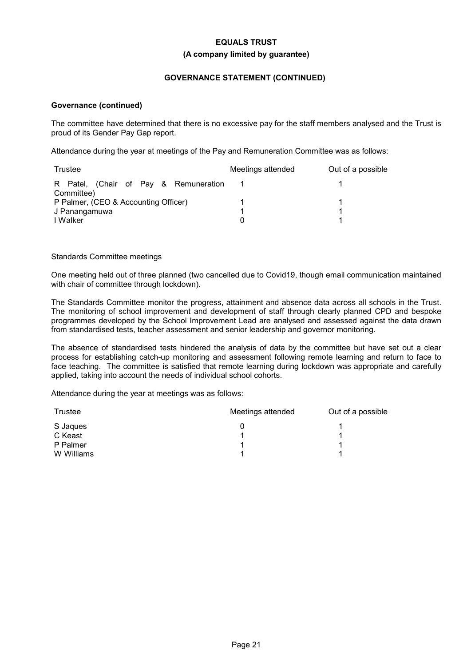## **(A company limited by guarantee)**

# **GOVERNANCE STATEMENT (CONTINUED)**

# **Governance (continued)**

The committee have determined that there is no excessive pay for the staff members analysed and the Trust is proud of its Gender Pay Gap report.

Attendance during the year at meetings of the Pay and Remuneration Committee was as follows:

| Trustee                                             | Meetings attended | Out of a possible |
|-----------------------------------------------------|-------------------|-------------------|
| R Patel, (Chair of Pay & Remuneration<br>Committee) |                   |                   |
| P Palmer, (CEO & Accounting Officer)                |                   |                   |
| J Panangamuwa                                       |                   |                   |
| I Walker                                            | 0                 |                   |

# Standards Committee meetings

One meeting held out of three planned (two cancelled due to Covid19, though email communication maintained with chair of committee through lockdown).

The Standards Committee monitor the progress, attainment and absence data across all schools in the Trust. The monitoring of school improvement and development of staff through clearly planned CPD and bespoke programmes developed by the School Improvement Lead are analysed and assessed against the data drawn from standardised tests, teacher assessment and senior leadership and governor monitoring.

The absence of standardised tests hindered the analysis of data by the committee but have set out a clear process for establishing catch-up monitoring and assessment following remote learning and return to face to face teaching. The committee is satisfied that remote learning during lockdown was appropriate and carefully applied, taking into account the needs of individual school cohorts.

Attendance during the year at meetings was as follows:

| <b>Trustee</b> | Meetings attended | Out of a possible |
|----------------|-------------------|-------------------|
| S Jaques       |                   |                   |
| C Keast        |                   |                   |
| P Palmer       |                   |                   |
| W Williams     |                   |                   |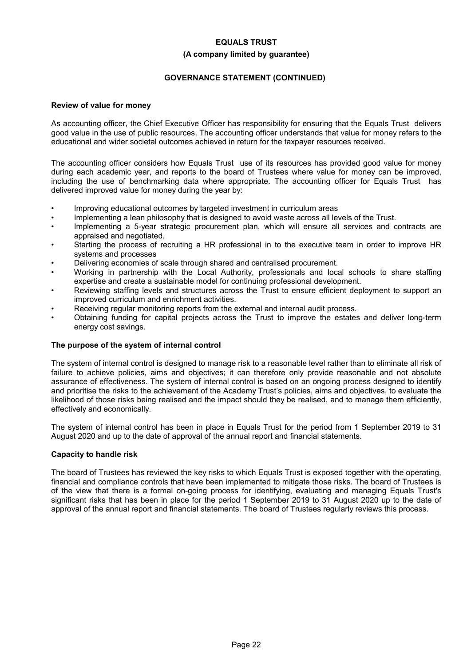### **(A company limited by guarantee)**

# **GOVERNANCE STATEMENT (CONTINUED)**

# **Review of value for money**

As accounting officer, the Chief Executive Officer has responsibility for ensuring that the Equals Trust delivers good value in the use of public resources. The accounting officer understands that value for money refers to the educational and wider societal outcomes achieved in return for the taxpayer resources received.

The accounting officer considers how Equals Trust use of its resources has provided good value for money during each academic year, and reports to the board of Trustees where value for money can be improved, including the use of benchmarking data where appropriate. The accounting officer for Equals Trust has delivered improved value for money during the year by:

- Improving educational outcomes by targeted investment in curriculum areas
- Implementing a lean philosophy that is designed to avoid waste across all levels of the Trust.
- Implementing a 5-year strategic procurement plan, which will ensure all services and contracts are appraised and negotiated.
- Starting the process of recruiting a HR professional in to the executive team in order to improve HR systems and processes
- Delivering economies of scale through shared and centralised procurement.
- Working in partnership with the Local Authority, professionals and local schools to share staffing expertise and create a sustainable model for continuing professional development.
- Reviewing staffing levels and structures across the Trust to ensure efficient deployment to support an improved curriculum and enrichment activities.
- Receiving regular monitoring reports from the external and internal audit process.
- Obtaining funding for capital projects across the Trust to improve the estates and deliver long-term energy cost savings.

# **The purpose of the system of internal control**

The system of internal control is designed to manage risk to a reasonable level rather than to eliminate all risk of failure to achieve policies, aims and objectives; it can therefore only provide reasonable and not absolute assurance of effectiveness. The system of internal control is based on an ongoing process designed to identify and prioritise the risks to the achievement of the Academy Trust's policies, aims and objectives, to evaluate the likelihood of those risks being realised and the impact should they be realised, and to manage them efficiently, effectively and economically.

The system of internal control has been in place in Equals Trust for the period from 1 September 2019 to 31 August 2020 and up to the date of approval of the annual report and financial statements.

#### **Capacity to handle risk**

The board of Trustees has reviewed the key risks to which Equals Trust is exposed together with the operating, financial and compliance controls that have been implemented to mitigate those risks. The board of Trustees is of the view that there is a formal on-going process for identifying, evaluating and managing Equals Trust's significant risks that has been in place for the period 1 September 2019 to 31 August 2020 up to the date of approval of the annual report and financial statements. The board of Trustees regularly reviews this process.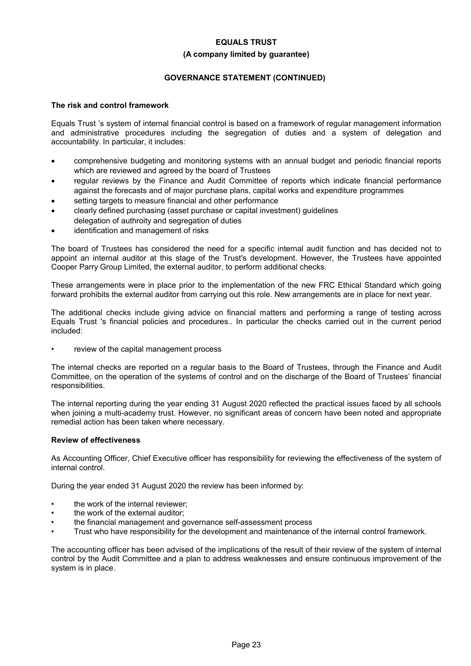#### **(A company limited by guarantee)**

# **GOVERNANCE STATEMENT (CONTINUED)**

# **The risk and control framework**

Equals Trust 's system of internal financial control is based on a framework of regular management information and administrative procedures including the segregation of duties and a system of delegation and accountability. In particular, it includes:

- comprehensive budgeting and monitoring systems with an annual budget and periodic financial reports which are reviewed and agreed by the board of Trustees
- regular reviews by the Finance and Audit Committee of reports which indicate financial performance against the forecasts and of major purchase plans, capital works and expenditure programmes
- setting targets to measure financial and other performance
- clearly defined purchasing (asset purchase or capital investment) guidelines delegation of authroity and segregation of duties
- identification and management of risks

The board of Trustees has considered the need for a specific internal audit function and has decided not to appoint an internal auditor at this stage of the Trust's development. However, the Trustees have appointed Cooper Parry Group Limited, the external auditor, to perform additional checks.

These arrangements were in place prior to the implementation of the new FRC Ethical Standard which going forward prohibits the external auditor from carrying out this role. New arrangements are in place for next year.

The additional checks include giving advice on financial matters and performing a range of testing across Equals Trust 's financial policies and procedures.. In particular the checks carried out in the current period included:

review of the capital management process

The internal checks are reported on a regular basis to the Board of Trustees, through the Finance and Audit Committee, on the operation of the systems of control and on the discharge of the Board of Trustees' financial responsibilities.

The internal reporting during the year ending 31 August 2020 reflected the practical issues faced by all schools when joining a multi-academy trust. However, no significant areas of concern have been noted and appropriate remedial action has been taken where necessary.

# **Review of effectiveness**

As Accounting Officer, Chief Executive officer has responsibility for reviewing the effectiveness of the system of internal control.

During the year ended 31 August 2020 the review has been informed by:

- the work of the internal reviewer;
- the work of the external auditor;
- the financial management and governance self-assessment process
- Trust who have responsibility for the development and maintenance of the internal control framework.

The accounting officer has been advised of the implications of the result of their review of the system of internal control by the Audit Committee and a plan to address weaknesses and ensure continuous improvement of the system is in place.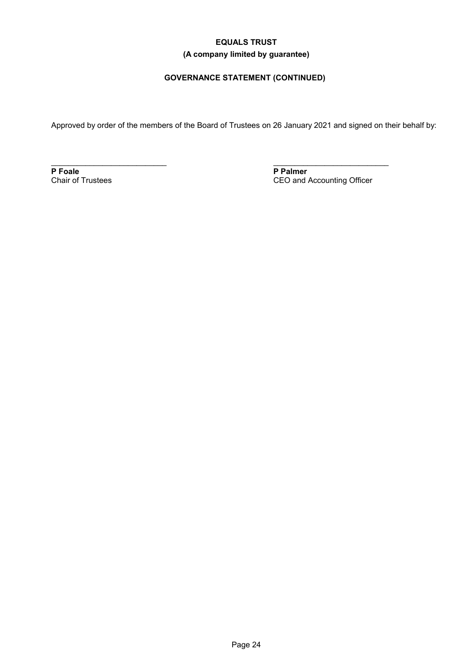# **EQUALS TRUST (A company limited by guarantee)**

# **GOVERNANCE STATEMENT (CONTINUED)**

Approved by order of the members of the Board of Trustees on 26 January 2021 and signed on their behalf by:

**P Foale** Chair of Trustees

\_\_\_\_\_\_\_\_\_\_\_\_\_\_\_\_\_\_\_\_\_\_\_\_\_\_\_

**P Palmer** CEO and Accounting Officer

\_\_\_\_\_\_\_\_\_\_\_\_\_\_\_\_\_\_\_\_\_\_\_\_\_\_\_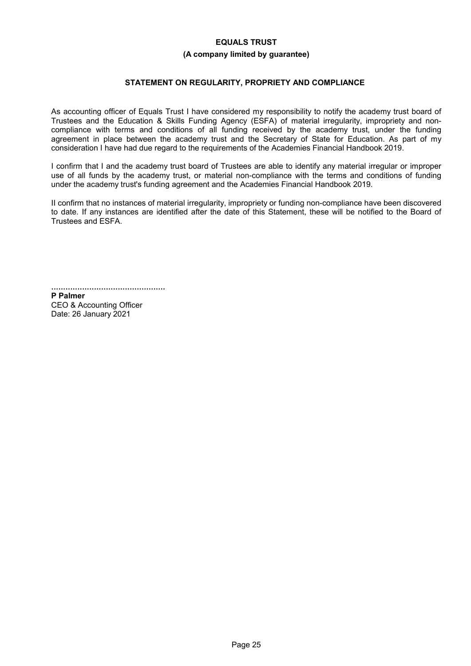#### **(A company limited by guarantee)**

# **STATEMENT ON REGULARITY, PROPRIETY AND COMPLIANCE**

As accounting officer of Equals Trust I have considered my responsibility to notify the academy trust board of Trustees and the Education & Skills Funding Agency (ESFA) of material irregularity, impropriety and noncompliance with terms and conditions of all funding received by the academy trust, under the funding agreement in place between the academy trust and the Secretary of State for Education. As part of my consideration I have had due regard to the requirements of the Academies Financial Handbook 2019.

I confirm that I and the academy trust board of Trustees are able to identify any material irregular or improper use of all funds by the academy trust, or material non-compliance with the terms and conditions of funding under the academy trust's funding agreement and the Academies Financial Handbook 2019.

II confirm that no instances of material irregularity, impropriety or funding non-compliance have been discovered to date. If any instances are identified after the date of this Statement, these will be notified to the Board of Trustees and ESFA.

................................................

**P Palmer** CEO & Accounting Officer Date: 26 January 2021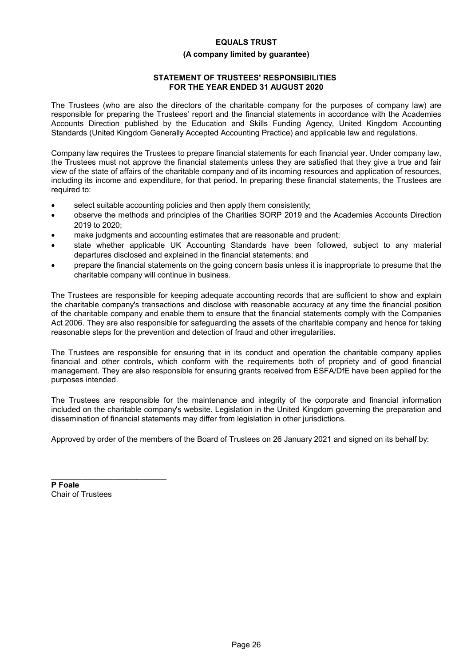# **(A company limited by guarantee)**

# **STATEMENT OF TRUSTEES' RESPONSIBILITIES FOR THE YEAR ENDED 31 AUGUST 2020**

The Trustees (who are also the directors of the charitable company for the purposes of company law) are responsible for preparing the Trustees' report and the financial statements in accordance with the Academies Accounts Direction published by the Education and Skills Funding Agency, United Kingdom Accounting Standards (United Kingdom Generally Accepted Accounting Practice) and applicable law and regulations.

Company law requires the Trustees to prepare financial statements for each financial year. Under company law, the Trustees must not approve the financial statements unless they are satisfied that they give a true and fair view of the state of affairs of the charitable company and of its incoming resources and application of resources, including its income and expenditure, for that period. In preparing these financial statements, the Trustees are required to:

- select suitable accounting policies and then apply them consistently;
- observe the methods and principles of the Charities SORP 2019 and the Academies Accounts Direction 2019 to 2020;
- make judgments and accounting estimates that are reasonable and prudent;
- state whether applicable UK Accounting Standards have been followed, subject to any material departures disclosed and explained in the financial statements; and
- prepare the financial statements on the going concern basis unless it is inappropriate to presume that the charitable company will continue in business.

The Trustees are responsible for keeping adequate accounting records that are sufficient to show and explain the charitable company's transactions and disclose with reasonable accuracy at any time the financial position of the charitable company and enable them to ensure that the financial statements comply with the Companies Act 2006. They are also responsible for safeguarding the assets of the charitable company and hence for taking reasonable steps for the prevention and detection of fraud and other irregularities.

The Trustees are responsible for ensuring that in its conduct and operation the charitable company applies financial and other controls, which conform with the requirements both of propriety and of good financial management. They are also responsible for ensuring grants received from ESFA/DfE have been applied for the purposes intended.

The Trustees are responsible for the maintenance and integrity of the corporate and financial information included on the charitable company's website. Legislation in the United Kingdom governing the preparation and dissemination of financial statements may differ from legislation in other jurisdictions.

Approved by order of the members of the Board of Trustees on 26 January 2021 and signed on its behalf by:

**P Foale** Chair of Trustees

\_\_\_\_\_\_\_\_\_\_\_\_\_\_\_\_\_\_\_\_\_\_\_\_\_\_\_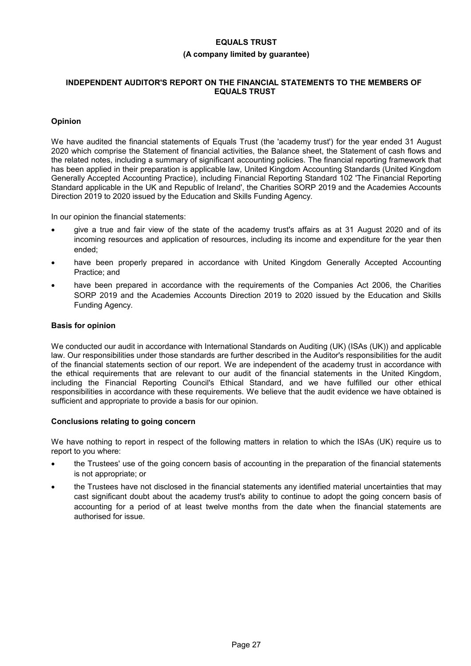## **(A company limited by guarantee)**

# **INDEPENDENT AUDITOR'S REPORT ON THE FINANCIAL STATEMENTS TO THE MEMBERS OF EQUALS TRUST**

# **Opinion**

We have audited the financial statements of Equals Trust (the 'academy trust') for the year ended 31 August 2020 which comprise the Statement of financial activities, the Balance sheet, the Statement of cash flows and the related notes, including a summary of significant accounting policies. The financial reporting framework that has been applied in their preparation is applicable law, United Kingdom Accounting Standards (United Kingdom Generally Accepted Accounting Practice), including Financial Reporting Standard 102 'The Financial Reporting Standard applicable in the UK and Republic of Ireland', the Charities SORP 2019 and the Academies Accounts Direction 2019 to 2020 issued by the Education and Skills Funding Agency.

In our opinion the financial statements:

- give a true and fair view of the state of the academy trust's affairs as at 31 August 2020 and of its incoming resources and application of resources, including its income and expenditure for the year then ended;
- have been properly prepared in accordance with United Kingdom Generally Accepted Accounting Practice; and
- have been prepared in accordance with the requirements of the Companies Act 2006, the Charities SORP 2019 and the Academies Accounts Direction 2019 to 2020 issued by the Education and Skills Funding Agency.

# **Basis for opinion**

We conducted our audit in accordance with International Standards on Auditing (UK) (ISAs (UK)) and applicable law. Our responsibilities under those standards are further described in the Auditor's responsibilities for the audit of the financial statements section of our report. We are independent of the academy trust in accordance with the ethical requirements that are relevant to our audit of the financial statements in the United Kingdom, including the Financial Reporting Council's Ethical Standard, and we have fulfilled our other ethical responsibilities in accordance with these requirements. We believe that the audit evidence we have obtained is sufficient and appropriate to provide a basis for our opinion.

# **Conclusions relating to going concern**

We have nothing to report in respect of the following matters in relation to which the ISAs (UK) require us to report to you where:

- the Trustees' use of the going concern basis of accounting in the preparation of the financial statements is not appropriate; or
- the Trustees have not disclosed in the financial statements any identified material uncertainties that may cast significant doubt about the academy trust's ability to continue to adopt the going concern basis of accounting for a period of at least twelve months from the date when the financial statements are authorised for issue.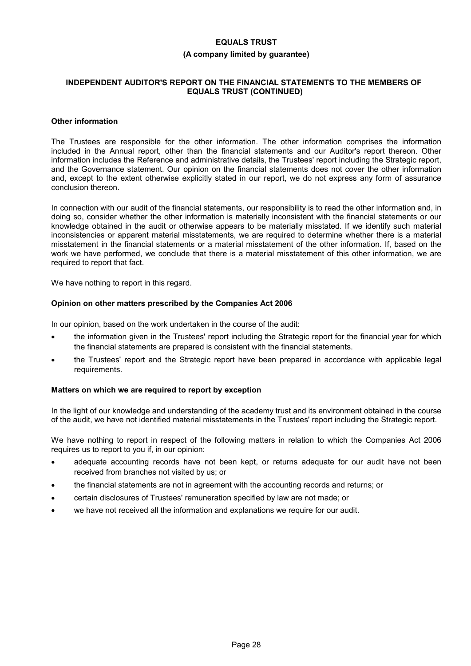#### **(A company limited by guarantee)**

## **INDEPENDENT AUDITOR'S REPORT ON THE FINANCIAL STATEMENTS TO THE MEMBERS OF EQUALS TRUST (CONTINUED)**

#### **Other information**

The Trustees are responsible for the other information. The other information comprises the information included in the Annual report, other than the financial statements and our Auditor's report thereon. Other information includes the Reference and administrative details, the Trustees' report including the Strategic report, and the Governance statement. Our opinion on the financial statements does not cover the other information and, except to the extent otherwise explicitly stated in our report, we do not express any form of assurance conclusion thereon.

In connection with our audit of the financial statements, our responsibility is to read the other information and, in doing so, consider whether the other information is materially inconsistent with the financial statements or our knowledge obtained in the audit or otherwise appears to be materially misstated. If we identify such material inconsistencies or apparent material misstatements, we are required to determine whether there is a material misstatement in the financial statements or a material misstatement of the other information. If, based on the work we have performed, we conclude that there is a material misstatement of this other information, we are required to report that fact.

We have nothing to report in this regard.

# **Opinion on other matters prescribed by the Companies Act 2006**

In our opinion, based on the work undertaken in the course of the audit:

- the information given in the Trustees' report including the Strategic report for the financial year for which the financial statements are prepared is consistent with the financial statements.
- the Trustees' report and the Strategic report have been prepared in accordance with applicable legal requirements.

#### **Matters on which we are required to report by exception**

In the light of our knowledge and understanding of the academy trust and its environment obtained in the course of the audit, we have not identified material misstatements in the Trustees' report including the Strategic report.

We have nothing to report in respect of the following matters in relation to which the Companies Act 2006 requires us to report to you if, in our opinion:

- adequate accounting records have not been kept, or returns adequate for our audit have not been received from branches not visited by us; or
- the financial statements are not in agreement with the accounting records and returns; or
- certain disclosures of Trustees' remuneration specified by law are not made; or
- we have not received all the information and explanations we require for our audit.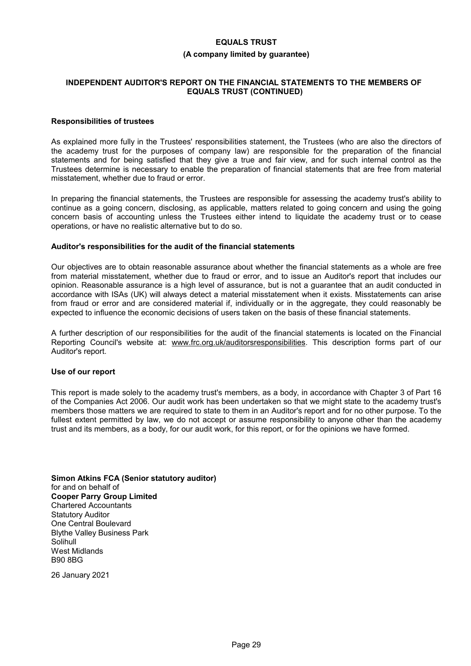#### **(A company limited by guarantee)**

### **INDEPENDENT AUDITOR'S REPORT ON THE FINANCIAL STATEMENTS TO THE MEMBERS OF EQUALS TRUST (CONTINUED)**

### **Responsibilities of trustees**

As explained more fully in the Trustees' responsibilities statement, the Trustees (who are also the directors of the academy trust for the purposes of company law) are responsible for the preparation of the financial statements and for being satisfied that they give a true and fair view, and for such internal control as the Trustees determine is necessary to enable the preparation of financial statements that are free from material misstatement, whether due to fraud or error.

In preparing the financial statements, the Trustees are responsible for assessing the academy trust's ability to continue as a going concern, disclosing, as applicable, matters related to going concern and using the going concern basis of accounting unless the Trustees either intend to liquidate the academy trust or to cease operations, or have no realistic alternative but to do so.

#### **Auditor's responsibilities for the audit of the financial statements**

Our objectives are to obtain reasonable assurance about whether the financial statements as a whole are free from material misstatement, whether due to fraud or error, and to issue an Auditor's report that includes our opinion. Reasonable assurance is a high level of assurance, but is not a guarantee that an audit conducted in accordance with ISAs (UK) will always detect a material misstatement when it exists. Misstatements can arise from fraud or error and are considered material if, individually or in the aggregate, they could reasonably be expected to influence the economic decisions of users taken on the basis of these financial statements.

A further description of our responsibilities for the audit of the financial statements is located on the Financial Reporting Council's website at: www.frc.org.uk/auditorsresponsibilities. This description forms part of our Auditor's report.

#### **Use of our report**

This report is made solely to the academy trust's members, as a body, in accordance with Chapter 3 of Part 16 of the Companies Act 2006. Our audit work has been undertaken so that we might state to the academy trust's members those matters we are required to state to them in an Auditor's report and for no other purpose. To the fullest extent permitted by law, we do not accept or assume responsibility to anyone other than the academy trust and its members, as a body, for our audit work, for this report, or for the opinions we have formed.

**Simon Atkins FCA (Senior statutory auditor)** for and on behalf of **Cooper Parry Group Limited** Chartered Accountants Statutory Auditor One Central Boulevard Blythe Valley Business Park Solihull West Midlands B90 8BG

26 January 2021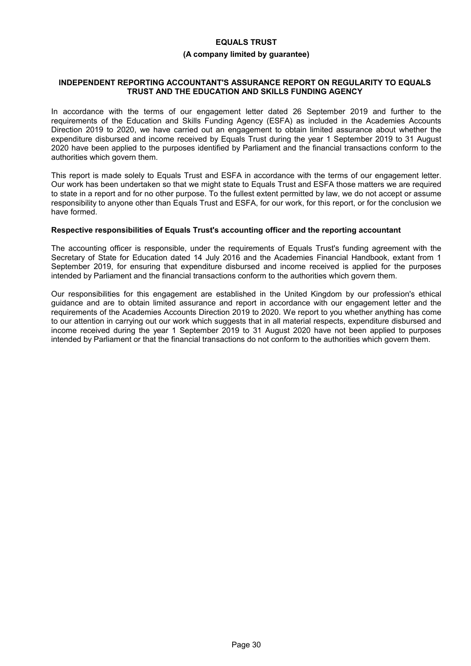#### **(A company limited by guarantee)**

#### **INDEPENDENT REPORTING ACCOUNTANT'S ASSURANCE REPORT ON REGULARITY TO EQUALS TRUST AND THE EDUCATION AND SKILLS FUNDING AGENCY**

In accordance with the terms of our engagement letter dated 26 September 2019 and further to the requirements of the Education and Skills Funding Agency (ESFA) as included in the Academies Accounts Direction 2019 to 2020, we have carried out an engagement to obtain limited assurance about whether the expenditure disbursed and income received by Equals Trust during the year 1 September 2019 to 31 August 2020 have been applied to the purposes identified by Parliament and the financial transactions conform to the authorities which govern them.

This report is made solely to Equals Trust and ESFA in accordance with the terms of our engagement letter. Our work has been undertaken so that we might state to Equals Trust and ESFA those matters we are required to state in a report and for no other purpose. To the fullest extent permitted by law, we do not accept or assume responsibility to anyone other than Equals Trust and ESFA, for our work, for this report, or for the conclusion we have formed.

#### **Respective responsibilities of Equals Trust's accounting officer and the reporting accountant**

The accounting officer is responsible, under the requirements of Equals Trust's funding agreement with the Secretary of State for Education dated 14 July 2016 and the Academies Financial Handbook, extant from 1 September 2019, for ensuring that expenditure disbursed and income received is applied for the purposes intended by Parliament and the financial transactions conform to the authorities which govern them.

Our responsibilities for this engagement are established in the United Kingdom by our profession's ethical guidance and are to obtain limited assurance and report in accordance with our engagement letter and the requirements of the Academies Accounts Direction 2019 to 2020. We report to you whether anything has come to our attention in carrying out our work which suggests that in all material respects, expenditure disbursed and income received during the year 1 September 2019 to 31 August 2020 have not been applied to purposes intended by Parliament or that the financial transactions do not conform to the authorities which govern them.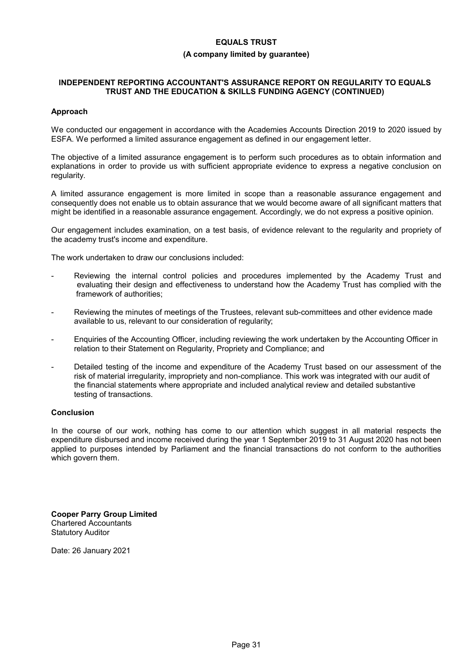# **(A company limited by guarantee)**

## **INDEPENDENT REPORTING ACCOUNTANT'S ASSURANCE REPORT ON REGULARITY TO EQUALS TRUST AND THE EDUCATION & SKILLS FUNDING AGENCY (CONTINUED)**

# **Approach**

We conducted our engagement in accordance with the Academies Accounts Direction 2019 to 2020 issued by ESFA. We performed a limited assurance engagement as defined in our engagement letter.

The objective of a limited assurance engagement is to perform such procedures as to obtain information and explanations in order to provide us with sufficient appropriate evidence to express a negative conclusion on regularity.

A limited assurance engagement is more limited in scope than a reasonable assurance engagement and consequently does not enable us to obtain assurance that we would become aware of all significant matters that might be identified in a reasonable assurance engagement. Accordingly, we do not express a positive opinion.

Our engagement includes examination, on a test basis, of evidence relevant to the regularity and propriety of the academy trust's income and expenditure.

The work undertaken to draw our conclusions included:

- Reviewing the internal control policies and procedures implemented by the Academy Trust and evaluating their design and effectiveness to understand how the Academy Trust has complied with the framework of authorities;
- Reviewing the minutes of meetings of the Trustees, relevant sub-committees and other evidence made available to us, relevant to our consideration of regularity;
- Enquiries of the Accounting Officer, including reviewing the work undertaken by the Accounting Officer in relation to their Statement on Regularity, Propriety and Compliance; and
- Detailed testing of the income and expenditure of the Academy Trust based on our assessment of the risk of material irregularity, impropriety and non-compliance. This work was integrated with our audit of the financial statements where appropriate and included analytical review and detailed substantive testing of transactions.

# **Conclusion**

In the course of our work, nothing has come to our attention which suggest in all material respects the expenditure disbursed and income received during the year 1 September 2019 to 31 August 2020 has not been applied to purposes intended by Parliament and the financial transactions do not conform to the authorities which govern them.

**Cooper Parry Group Limited** Chartered Accountants Statutory Auditor

Date: 26 January 2021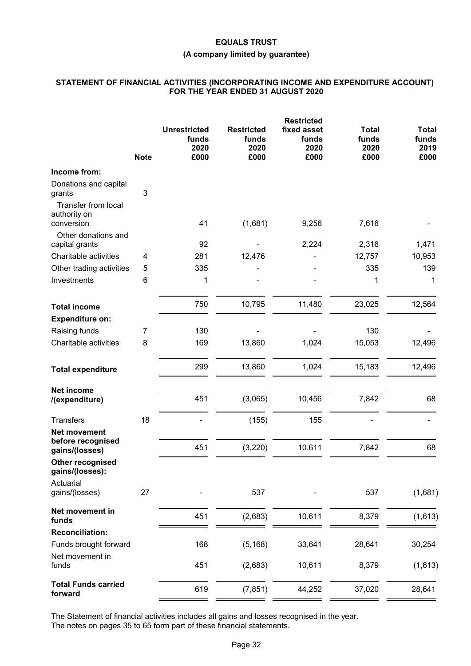# **(A company limited by guarantee)**

# **STATEMENT OF FINANCIAL ACTIVITIES (INCORPORATING INCOME AND EXPENDITURE ACCOUNT) FOR THE YEAR ENDED 31 AUGUST 2020**

|                                                            | <b>Note</b>  | <b>Unrestricted</b><br>funds<br>2020<br>£000 | <b>Restricted</b><br>funds<br>2020<br>£000 | <b>Restricted</b><br>fixed asset<br>funds<br>2020<br>£000 | <b>Total</b><br>funds<br>2020<br>£000 | <b>Total</b><br>funds<br>2019<br>£000 |
|------------------------------------------------------------|--------------|----------------------------------------------|--------------------------------------------|-----------------------------------------------------------|---------------------------------------|---------------------------------------|
| Income from:                                               |              |                                              |                                            |                                                           |                                       |                                       |
| Donations and capital<br>grants                            | $\mathbf{3}$ |                                              |                                            |                                                           |                                       |                                       |
| <b>Transfer from local</b><br>authority on<br>conversion   |              | 41                                           | (1,681)                                    | 9,256                                                     | 7,616                                 |                                       |
| Other donations and<br>capital grants                      |              | 92                                           |                                            | 2,224                                                     | 2,316                                 | 1,471                                 |
| Charitable activities                                      | 4            | 281                                          | 12,476                                     |                                                           | 12,757                                | 10,953                                |
| Other trading activities                                   | 5            | 335                                          |                                            |                                                           | 335                                   | 139                                   |
| Investments                                                | 6            | 1                                            |                                            |                                                           | 1                                     | 1                                     |
| <b>Total income</b>                                        |              | 750                                          | 10,795                                     | 11,480                                                    | 23,025                                | 12,564                                |
| <b>Expenditure on:</b>                                     |              |                                              |                                            |                                                           |                                       |                                       |
| Raising funds                                              | 7            | 130                                          |                                            |                                                           | 130                                   |                                       |
| Charitable activities                                      | 8            | 169                                          | 13,860                                     | 1,024                                                     | 15,053                                | 12,496                                |
| <b>Total expenditure</b>                                   |              | 299                                          | 13,860                                     | 1,024                                                     | 15,183                                | 12,496                                |
| <b>Net income</b><br>/(expenditure)                        |              | 451                                          | (3,065)                                    | 10,456                                                    | 7,842                                 | 68                                    |
|                                                            |              |                                              |                                            |                                                           |                                       |                                       |
| <b>Transfers</b>                                           | 18           |                                              | (155)                                      | 155                                                       |                                       |                                       |
| <b>Net movement</b><br>before recognised<br>gains/(losses) |              | 451                                          | (3, 220)                                   | 10,611                                                    | 7,842                                 | 68                                    |
| Other recognised<br>gains/(losses):                        |              |                                              |                                            |                                                           |                                       |                                       |
| Actuarial                                                  |              |                                              |                                            |                                                           |                                       |                                       |
| gains/(losses)                                             | 27           |                                              | 537                                        |                                                           | 537                                   | (1,681)                               |
| Net movement in<br>funds                                   |              | 451                                          | (2,683)                                    | 10,611                                                    | 8,379                                 | (1,613)                               |
| <b>Reconciliation:</b>                                     |              |                                              |                                            |                                                           |                                       |                                       |
| Funds brought forward                                      |              | 168                                          | (5, 168)                                   | 33,641                                                    | 28,641                                | 30,254                                |
| Net movement in<br>funds                                   |              | 451                                          | (2,683)                                    | 10,611                                                    | 8,379                                 | (1,613)                               |
|                                                            |              |                                              |                                            |                                                           |                                       |                                       |
| <b>Total Funds carried</b><br>forward                      |              | 619                                          | (7, 851)                                   | 44,252                                                    | 37,020                                | 28,641                                |

The Statement of financial activities includes all gains and losses recognised in the year. The notes on pages 35 to 65 form part of these financial statements.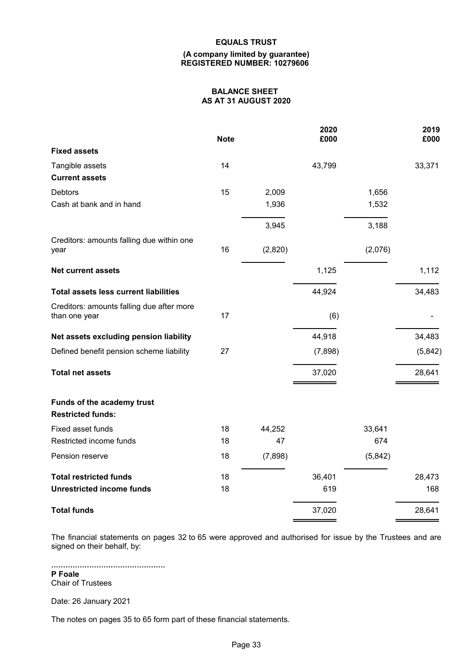#### **(A company limited by guarantee) REGISTERED NUMBER: 10279606**

# **BALANCE SHEET AS AT 31 AUGUST 2020**

|                                                            | <b>Note</b> |         | 2020<br>£000 |         | 2019<br>£000 |
|------------------------------------------------------------|-------------|---------|--------------|---------|--------------|
| <b>Fixed assets</b>                                        |             |         |              |         |              |
| Tangible assets                                            | 14          |         | 43,799       |         | 33,371       |
| <b>Current assets</b>                                      |             |         |              |         |              |
| <b>Debtors</b>                                             | 15          | 2,009   |              | 1,656   |              |
| Cash at bank and in hand                                   |             | 1,936   |              | 1,532   |              |
|                                                            |             | 3,945   |              | 3,188   |              |
| Creditors: amounts falling due within one<br>year          | 16          | (2,820) |              | (2,076) |              |
| <b>Net current assets</b>                                  |             |         | 1,125        |         | 1,112        |
| <b>Total assets less current liabilities</b>               |             |         | 44,924       |         | 34,483       |
| Creditors: amounts falling due after more<br>than one year | 17          |         | (6)          |         |              |
| Net assets excluding pension liability                     |             |         | 44,918       |         | 34,483       |
| Defined benefit pension scheme liability                   | 27          |         | (7,898)      |         | (5,842)      |
| <b>Total net assets</b>                                    |             |         | 37,020       |         | 28,641       |
| Funds of the academy trust<br><b>Restricted funds:</b>     |             |         |              |         |              |
| Fixed asset funds                                          | 18          | 44,252  |              | 33,641  |              |
| Restricted income funds                                    | 18          | 47      |              | 674     |              |
| Pension reserve                                            | 18          | (7,898) |              | (5,842) |              |
| <b>Total restricted funds</b>                              | 18          |         | 36,401       |         | 28,473       |
| <b>Unrestricted income funds</b>                           | 18          |         | 619          |         | 168          |
| <b>Total funds</b>                                         |             |         | 37,020       |         | 28,641       |

The financial statements on pages 32 to 65 were approved and authorised for issue by the Trustees and are signed on their behalf, by:

................................................ **P Foale** Chair of Trustees

Date: 26 January 2021

The notes on pages 35 to 65 form part of these financial statements.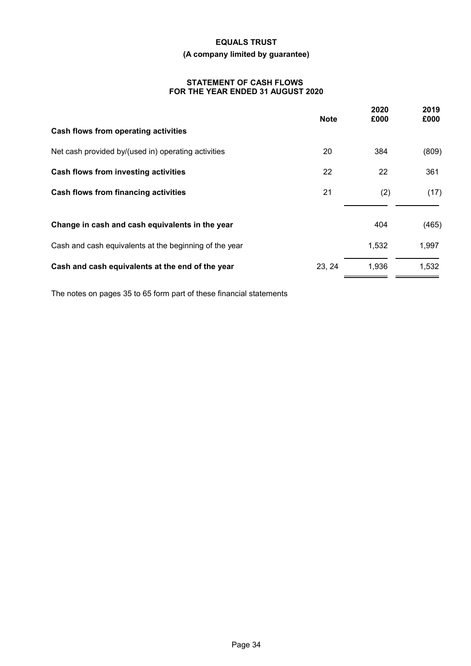# **EQUALS TRUST (A company limited by guarantee)**

# **STATEMENT OF CASH FLOWS FOR THE YEAR ENDED 31 AUGUST 2020**

|                                                        | <b>Note</b> | 2020<br>£000 | 2019<br>£000 |
|--------------------------------------------------------|-------------|--------------|--------------|
| Cash flows from operating activities                   |             |              |              |
| Net cash provided by/(used in) operating activities    | 20          | 384          | (809)        |
| Cash flows from investing activities                   | 22          | 22           | 361          |
| Cash flows from financing activities                   | 21          | (2)          | (17)         |
| Change in cash and cash equivalents in the year        |             | 404          | (465)        |
| Cash and cash equivalents at the beginning of the year |             | 1,532        | 1,997        |
| Cash and cash equivalents at the end of the year       | 23, 24      | 1,936        | 1,532        |

The notes on pages 35 to 65 form part of these financial statements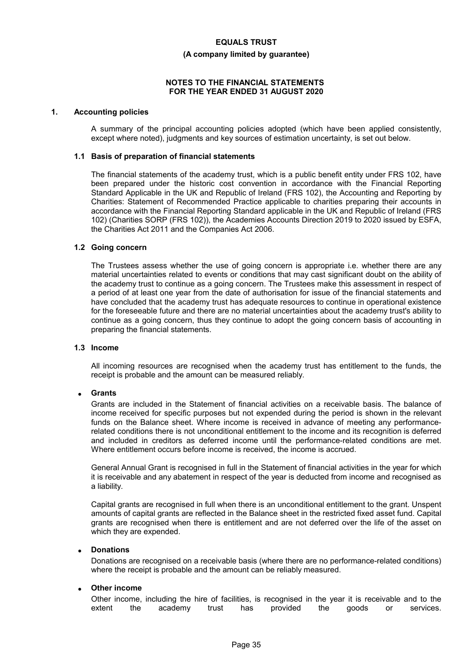#### **(A company limited by guarantee)**

#### **NOTES TO THE FINANCIAL STATEMENTS FOR THE YEAR ENDED 31 AUGUST 2020**

#### **1. Accounting policies**

A summary of the principal accounting policies adopted (which have been applied consistently, except where noted), judgments and key sources of estimation uncertainty, is set out below.

#### **1.1 Basis of preparation of financial statements**

The financial statements of the academy trust, which is a public benefit entity under FRS 102, have been prepared under the historic cost convention in accordance with the Financial Reporting Standard Applicable in the UK and Republic of Ireland (FRS 102), the Accounting and Reporting by Charities: Statement of Recommended Practice applicable to charities preparing their accounts in accordance with the Financial Reporting Standard applicable in the UK and Republic of Ireland (FRS 102) (Charities SORP (FRS 102)), the Academies Accounts Direction 2019 to 2020 issued by ESFA, the Charities Act 2011 and the Companies Act 2006.

#### **1.2 Going concern**

The Trustees assess whether the use of going concern is appropriate i.e. whether there are any material uncertainties related to events or conditions that may cast significant doubt on the ability of the academy trust to continue as a going concern. The Trustees make this assessment in respect of a period of at least one year from the date of authorisation for issue of the financial statements and have concluded that the academy trust has adequate resources to continue in operational existence for the foreseeable future and there are no material uncertainties about the academy trust's ability to continue as a going concern, thus they continue to adopt the going concern basis of accounting in preparing the financial statements.

#### **1.3 Income**

All incoming resources are recognised when the academy trust has entitlement to the funds, the receipt is probable and the amount can be measured reliably.

### **Grants**

Grants are included in the Statement of financial activities on a receivable basis. The balance of income received for specific purposes but not expended during the period is shown in the relevant funds on the Balance sheet. Where income is received in advance of meeting any performancerelated conditions there is not unconditional entitlement to the income and its recognition is deferred and included in creditors as deferred income until the performance-related conditions are met. Where entitlement occurs before income is received, the income is accrued.

General Annual Grant is recognised in full in the Statement of financial activities in the year for which it is receivable and any abatement in respect of the year is deducted from income and recognised as a liability.

Capital grants are recognised in full when there is an unconditional entitlement to the grant. Unspent amounts of capital grants are reflected in the Balance sheet in the restricted fixed asset fund. Capital grants are recognised when there is entitlement and are not deferred over the life of the asset on which they are expended.

#### **Donations**

Donations are recognised on a receivable basis (where there are no performance-related conditions) where the receipt is probable and the amount can be reliably measured.

#### **Other income**

Other income, including the hire of facilities, is recognised in the year it is receivable and to the extent the academy trust has provided the goods or services.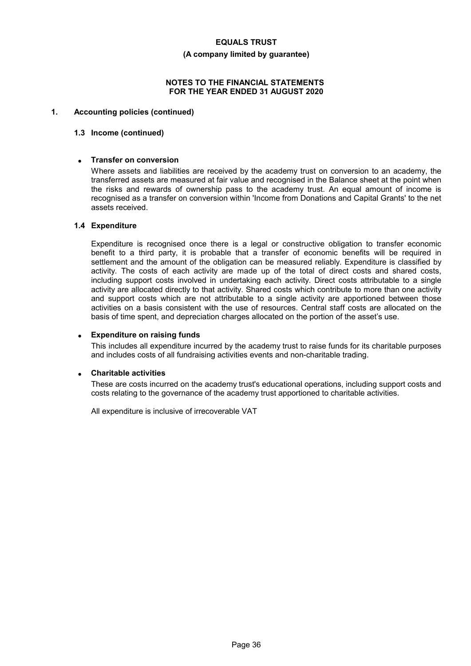#### **(A company limited by guarantee)**

#### **NOTES TO THE FINANCIAL STATEMENTS FOR THE YEAR ENDED 31 AUGUST 2020**

# **1. Accounting policies (continued)**

### **1.3 Income (continued)**

### **Transfer on conversion**

Where assets and liabilities are received by the academy trust on conversion to an academy, the transferred assets are measured at fair value and recognised in the Balance sheet at the point when the risks and rewards of ownership pass to the academy trust. An equal amount of income is recognised as a transfer on conversion within 'Income from Donations and Capital Grants' to the net assets received.

# **1.4 Expenditure**

Expenditure is recognised once there is a legal or constructive obligation to transfer economic benefit to a third party, it is probable that a transfer of economic benefits will be required in settlement and the amount of the obligation can be measured reliably. Expenditure is classified by activity. The costs of each activity are made up of the total of direct costs and shared costs, including support costs involved in undertaking each activity. Direct costs attributable to a single activity are allocated directly to that activity. Shared costs which contribute to more than one activity and support costs which are not attributable to a single activity are apportioned between those activities on a basis consistent with the use of resources. Central staff costs are allocated on the basis of time spent, and depreciation charges allocated on the portion of the asset's use.

### **Expenditure on raising funds**

This includes all expenditure incurred by the academy trust to raise funds for its charitable purposes and includes costs of all fundraising activities events and non-charitable trading.

#### **Charitable activities**

These are costs incurred on the academy trust's educational operations, including support costs and costs relating to the governance of the academy trust apportioned to charitable activities.

All expenditure is inclusive of irrecoverable VAT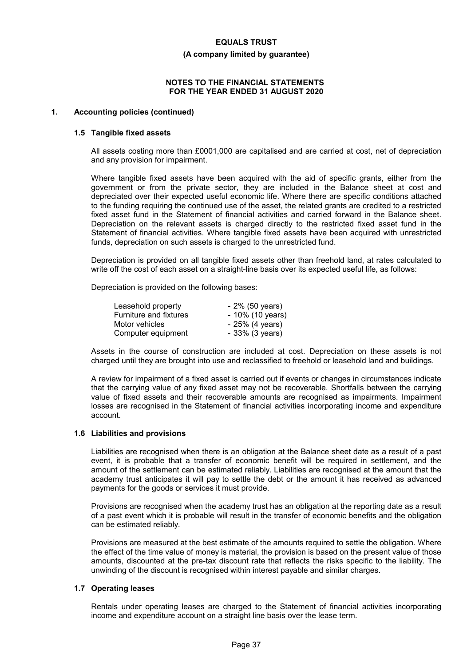#### **(A company limited by guarantee)**

#### **NOTES TO THE FINANCIAL STATEMENTS FOR THE YEAR ENDED 31 AUGUST 2020**

#### **1. Accounting policies (continued)**

#### **1.5 Tangible fixed assets**

All assets costing more than £0001,000 are capitalised and are carried at cost, net of depreciation and any provision for impairment.

Where tangible fixed assets have been acquired with the aid of specific grants, either from the government or from the private sector, they are included in the Balance sheet at cost and depreciated over their expected useful economic life. Where there are specific conditions attached to the funding requiring the continued use of the asset, the related grants are credited to a restricted fixed asset fund in the Statement of financial activities and carried forward in the Balance sheet. Depreciation on the relevant assets is charged directly to the restricted fixed asset fund in the Statement of financial activities. Where tangible fixed assets have been acquired with unrestricted funds, depreciation on such assets is charged to the unrestricted fund.

Depreciation is provided on all tangible fixed assets other than freehold land, at rates calculated to write off the cost of each asset on a straight-line basis over its expected useful life, as follows:

Depreciation is provided on the following bases:

| Leasehold property            | - 2% (50 years)  |
|-------------------------------|------------------|
| <b>Furniture and fixtures</b> | - 10% (10 years) |
| Motor vehicles                | $-25%$ (4 years) |
| Computer equipment            | - 33% (3 years)  |

Assets in the course of construction are included at cost. Depreciation on these assets is not charged until they are brought into use and reclassified to freehold or leasehold land and buildings.

A review for impairment of a fixed asset is carried out if events or changes in circumstances indicate that the carrying value of any fixed asset may not be recoverable. Shortfalls between the carrying value of fixed assets and their recoverable amounts are recognised as impairments. Impairment losses are recognised in the Statement of financial activities incorporating income and expenditure account.

#### **1.6 Liabilities and provisions**

Liabilities are recognised when there is an obligation at the Balance sheet date as a result of a past event, it is probable that a transfer of economic benefit will be required in settlement, and the amount of the settlement can be estimated reliably. Liabilities are recognised at the amount that the academy trust anticipates it will pay to settle the debt or the amount it has received as advanced payments for the goods or services it must provide.

Provisions are recognised when the academy trust has an obligation at the reporting date as a result of a past event which it is probable will result in the transfer of economic benefits and the obligation can be estimated reliably.

Provisions are measured at the best estimate of the amounts required to settle the obligation. Where the effect of the time value of money is material, the provision is based on the present value of those amounts, discounted at the pre-tax discount rate that reflects the risks specific to the liability. The unwinding of the discount is recognised within interest payable and similar charges.

### **1.7 Operating leases**

Rentals under operating leases are charged to the Statement of financial activities incorporating income and expenditure account on a straight line basis over the lease term.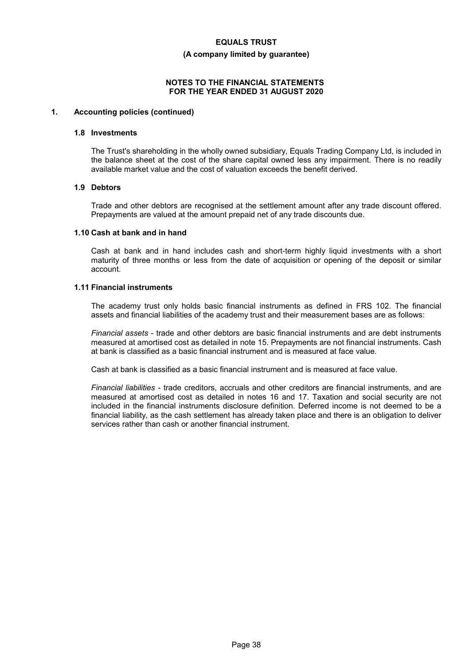#### **(A company limited by guarantee)**

### **NOTES TO THE FINANCIAL STATEMENTS FOR THE YEAR ENDED 31 AUGUST 2020**

# **1. Accounting policies (continued)**

#### **1.8 Investments**

The Trust's shareholding in the wholly owned subsidiary, Equals Trading Company Ltd, is included in the balance sheet at the cost of the share capital owned less any impairment. There is no readily available market value and the cost of valuation exceeds the benefit derived.

# **1.9 Debtors**

Trade and other debtors are recognised at the settlement amount after any trade discount offered. Prepayments are valued at the amount prepaid net of any trade discounts due.

#### **1.10 Cash at bank and in hand**

Cash at bank and in hand includes cash and short-term highly liquid investments with a short maturity of three months or less from the date of acquisition or opening of the deposit or similar account.

# **1.11 Financial instruments**

The academy trust only holds basic financial instruments as defined in FRS 102. The financial assets and financial liabilities of the academy trust and their measurement bases are as follows:

*Financial assets* - trade and other debtors are basic financial instruments and are debt instruments measured at amortised cost as detailed in note 15. Prepayments are not financial instruments. Cash at bank is classified as a basic financial instrument and is measured at face value.

Cash at bank is classified as a basic financial instrument and is measured at face value.

*Financial liabilities* - trade creditors, accruals and other creditors are financial instruments, and are measured at amortised cost as detailed in notes 16 and 17. Taxation and social security are not included in the financial instruments disclosure definition. Deferred income is not deemed to be a financial liability, as the cash settlement has already taken place and there is an obligation to deliver services rather than cash or another financial instrument.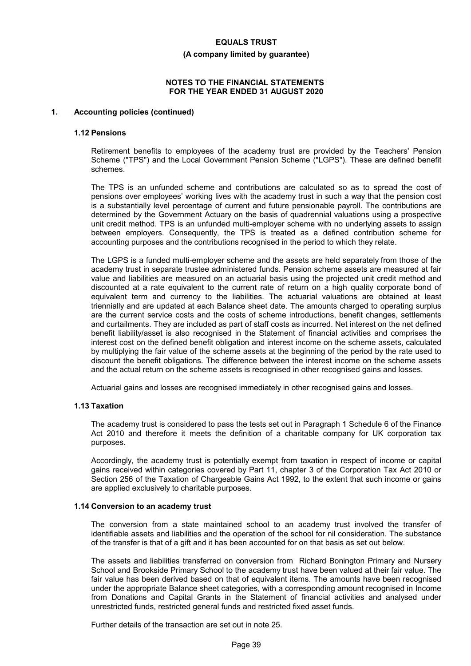#### **(A company limited by guarantee)**

### **NOTES TO THE FINANCIAL STATEMENTS FOR THE YEAR ENDED 31 AUGUST 2020**

#### **1. Accounting policies (continued)**

#### **1.12 Pensions**

Retirement benefits to employees of the academy trust are provided by the Teachers' Pension Scheme ("TPS") and the Local Government Pension Scheme ("LGPS"). These are defined benefit schemes.

The TPS is an unfunded scheme and contributions are calculated so as to spread the cost of pensions over employees' working lives with the academy trust in such a way that the pension cost is a substantially level percentage of current and future pensionable payroll. The contributions are determined by the Government Actuary on the basis of quadrennial valuations using a prospective unit credit method. TPS is an unfunded multi-employer scheme with no underlying assets to assign between employers. Consequently, the TPS is treated as a defined contribution scheme for accounting purposes and the contributions recognised in the period to which they relate.

The LGPS is a funded multi-employer scheme and the assets are held separately from those of the academy trust in separate trustee administered funds. Pension scheme assets are measured at fair value and liabilities are measured on an actuarial basis using the projected unit credit method and discounted at a rate equivalent to the current rate of return on a high quality corporate bond of equivalent term and currency to the liabilities. The actuarial valuations are obtained at least triennially and are updated at each Balance sheet date. The amounts charged to operating surplus are the current service costs and the costs of scheme introductions, benefit changes, settlements and curtailments. They are included as part of staff costs as incurred. Net interest on the net defined benefit liability/asset is also recognised in the Statement of financial activities and comprises the interest cost on the defined benefit obligation and interest income on the scheme assets, calculated by multiplying the fair value of the scheme assets at the beginning of the period by the rate used to discount the benefit obligations. The difference between the interest income on the scheme assets and the actual return on the scheme assets is recognised in other recognised gains and losses.

Actuarial gains and losses are recognised immediately in other recognised gains and losses.

#### **1.13 Taxation**

The academy trust is considered to pass the tests set out in Paragraph 1 Schedule 6 of the Finance Act 2010 and therefore it meets the definition of a charitable company for UK corporation tax purposes.

Accordingly, the academy trust is potentially exempt from taxation in respect of income or capital gains received within categories covered by Part 11, chapter 3 of the Corporation Tax Act 2010 or Section 256 of the Taxation of Chargeable Gains Act 1992, to the extent that such income or gains are applied exclusively to charitable purposes.

#### **1.14 Conversion to an academy trust**

The conversion from a state maintained school to an academy trust involved the transfer of identifiable assets and liabilities and the operation of the school for nil consideration. The substance of the transfer is that of a gift and it has been accounted for on that basis as set out below.

The assets and liabilities transferred on conversion from Richard Bonington Primary and Nursery School and Brookside Primary School to the academy trust have been valued at their fair value. The fair value has been derived based on that of equivalent items. The amounts have been recognised under the appropriate Balance sheet categories, with a corresponding amount recognised in Income from Donations and Capital Grants in the Statement of financial activities and analysed under unrestricted funds, restricted general funds and restricted fixed asset funds.

Further details of the transaction are set out in note 25.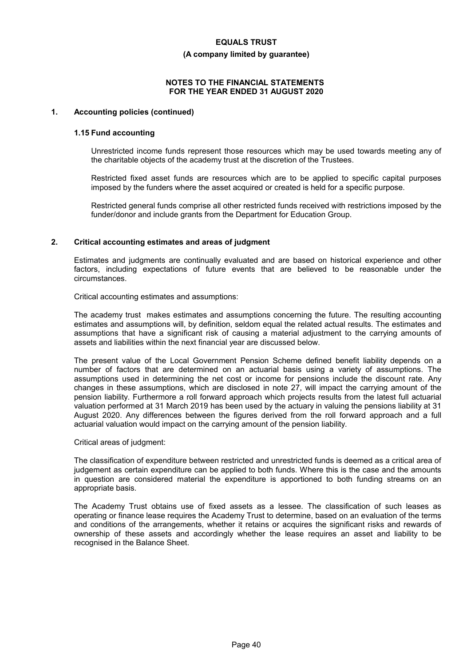#### **(A company limited by guarantee)**

### **NOTES TO THE FINANCIAL STATEMENTS FOR THE YEAR ENDED 31 AUGUST 2020**

#### **1. Accounting policies (continued)**

#### **1.15 Fund accounting**

Unrestricted income funds represent those resources which may be used towards meeting any of the charitable objects of the academy trust at the discretion of the Trustees.

Restricted fixed asset funds are resources which are to be applied to specific capital purposes imposed by the funders where the asset acquired or created is held for a specific purpose.

Restricted general funds comprise all other restricted funds received with restrictions imposed by the funder/donor and include grants from the Department for Education Group.

#### **2. Critical accounting estimates and areas of judgment**

Estimates and judgments are continually evaluated and are based on historical experience and other factors, including expectations of future events that are believed to be reasonable under the circumstances.

Critical accounting estimates and assumptions:

The academy trust makes estimates and assumptions concerning the future. The resulting accounting estimates and assumptions will, by definition, seldom equal the related actual results. The estimates and assumptions that have a significant risk of causing a material adjustment to the carrying amounts of assets and liabilities within the next financial year are discussed below.

The present value of the Local Government Pension Scheme defined benefit liability depends on a number of factors that are determined on an actuarial basis using a variety of assumptions. The assumptions used in determining the net cost or income for pensions include the discount rate. Any changes in these assumptions, which are disclosed in note 27, will impact the carrying amount of the pension liability. Furthermore a roll forward approach which projects results from the latest full actuarial valuation performed at 31 March 2019 has been used by the actuary in valuing the pensions liability at 31 August 2020. Any differences between the figures derived from the roll forward approach and a full actuarial valuation would impact on the carrying amount of the pension liability.

#### Critical areas of judgment:

The classification of expenditure between restricted and unrestricted funds is deemed as a critical area of judgement as certain expenditure can be applied to both funds. Where this is the case and the amounts in question are considered material the expenditure is apportioned to both funding streams on an appropriate basis.

The Academy Trust obtains use of fixed assets as a lessee. The classification of such leases as operating or finance lease requires the Academy Trust to determine, based on an evaluation of the terms and conditions of the arrangements, whether it retains or acquires the significant risks and rewards of ownership of these assets and accordingly whether the lease requires an asset and liability to be recognised in the Balance Sheet.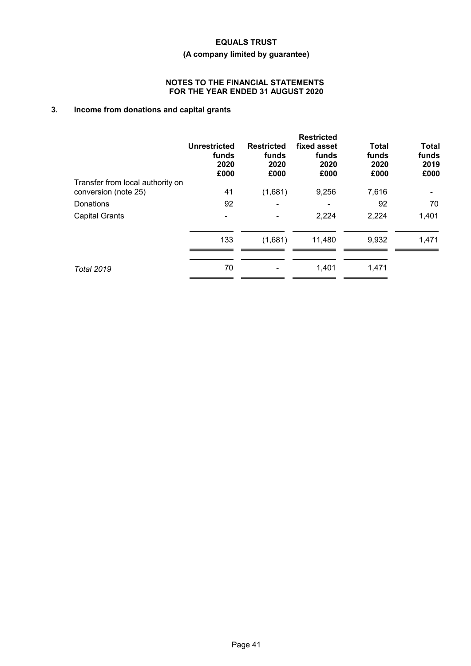# **(A company limited by guarantee)**

## **NOTES TO THE FINANCIAL STATEMENTS FOR THE YEAR ENDED 31 AUGUST 2020**

# **3. Income from donations and capital grants**

|                                  | <b>Unrestricted</b><br>funds<br>2020<br>£000 | <b>Restricted</b><br>funds<br>2020<br>£000 | <b>Restricted</b><br>fixed asset<br>funds<br>2020<br>£000 | <b>Total</b><br>funds<br>2020<br>£000 | <b>Total</b><br>funds<br>2019<br>£000 |
|----------------------------------|----------------------------------------------|--------------------------------------------|-----------------------------------------------------------|---------------------------------------|---------------------------------------|
| Transfer from local authority on |                                              |                                            |                                                           |                                       |                                       |
| conversion (note 25)             | 41                                           | (1,681)                                    | 9,256                                                     | 7,616                                 |                                       |
| Donations                        | 92                                           | $\overline{\phantom{0}}$                   |                                                           | 92                                    | 70                                    |
| <b>Capital Grants</b>            |                                              |                                            | 2,224                                                     | 2,224                                 | 1,401                                 |
|                                  | 133                                          | (1,681)                                    | 11,480                                                    | 9,932                                 | 1,471                                 |
| <b>Total 2019</b>                | 70                                           |                                            | 1,401                                                     | 1,471                                 |                                       |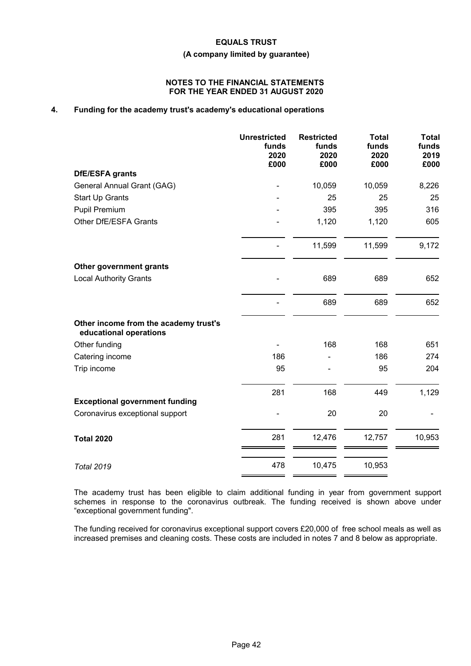# **(A company limited by guarantee)**

#### **NOTES TO THE FINANCIAL STATEMENTS FOR THE YEAR ENDED 31 AUGUST 2020**

# **4. Funding for the academy trust's academy's educational operations**

|                                                                 | <b>Unrestricted</b><br>funds<br>2020<br>£000 | <b>Restricted</b><br>funds<br>2020<br>£000 | <b>Total</b><br>funds<br>2020<br>£000 | <b>Total</b><br>funds<br>2019<br>£000 |
|-----------------------------------------------------------------|----------------------------------------------|--------------------------------------------|---------------------------------------|---------------------------------------|
| DfE/ESFA grants                                                 |                                              |                                            |                                       |                                       |
| General Annual Grant (GAG)                                      |                                              | 10,059                                     | 10,059                                | 8,226                                 |
| <b>Start Up Grants</b>                                          |                                              | 25                                         | 25                                    | 25                                    |
| Pupil Premium                                                   |                                              | 395                                        | 395                                   | 316                                   |
| Other DfE/ESFA Grants                                           |                                              | 1,120                                      | 1,120                                 | 605                                   |
|                                                                 |                                              | 11,599                                     | 11,599                                | 9,172                                 |
| Other government grants                                         |                                              |                                            |                                       |                                       |
| <b>Local Authority Grants</b>                                   |                                              | 689                                        | 689                                   | 652                                   |
|                                                                 |                                              | 689                                        | 689                                   | 652                                   |
| Other income from the academy trust's<br>educational operations |                                              |                                            |                                       |                                       |
| Other funding                                                   |                                              | 168                                        | 168                                   | 651                                   |
| Catering income                                                 | 186                                          |                                            | 186                                   | 274                                   |
| Trip income                                                     | 95                                           |                                            | 95                                    | 204                                   |
|                                                                 | 281                                          | 168                                        | 449                                   | 1,129                                 |
| <b>Exceptional government funding</b>                           |                                              |                                            |                                       |                                       |
| Coronavirus exceptional support                                 |                                              | 20                                         | 20                                    |                                       |
| <b>Total 2020</b>                                               | 281                                          | 12,476                                     | 12,757                                | 10,953                                |
| <b>Total 2019</b>                                               | 478                                          | 10,475                                     | 10,953                                |                                       |

The academy trust has been eligible to claim additional funding in year from government support schemes in response to the coronavirus outbreak. The funding received is shown above under "exceptional government funding".

The funding received for coronavirus exceptional support covers £20,000 of free school meals as well as increased premises and cleaning costs. These costs are included in notes 7 and 8 below as appropriate.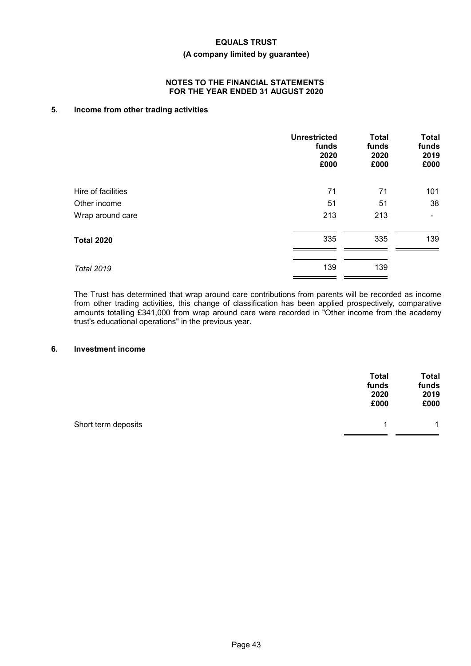# **(A company limited by guarantee)**

#### **NOTES TO THE FINANCIAL STATEMENTS FOR THE YEAR ENDED 31 AUGUST 2020**

# **5. Income from other trading activities**

|                    | <b>Unrestricted</b><br>funds<br>2020<br>£000 | <b>Total</b><br>funds<br>2020<br>£000 | <b>Total</b><br>funds<br>2019<br>£000 |
|--------------------|----------------------------------------------|---------------------------------------|---------------------------------------|
| Hire of facilities | 71                                           | 71                                    | 101                                   |
| Other income       | 51                                           | 51                                    | 38                                    |
| Wrap around care   | 213                                          | 213                                   | ۰                                     |
| <b>Total 2020</b>  | 335                                          | 335                                   | 139                                   |
| <b>Total 2019</b>  | 139                                          | 139                                   |                                       |

The Trust has determined that wrap around care contributions from parents will be recorded as income from other trading activities, this change of classification has been applied prospectively, comparative amounts totalling £341,000 from wrap around care were recorded in "Other income from the academy trust's educational operations" in the previous year.

#### **6. Investment income**

|                     | <b>Total</b><br>funds<br>2020<br>£000 | <b>Total</b><br>funds<br>2019<br>£000 |
|---------------------|---------------------------------------|---------------------------------------|
| Short term deposits | 1                                     | $\mathbf{1}$                          |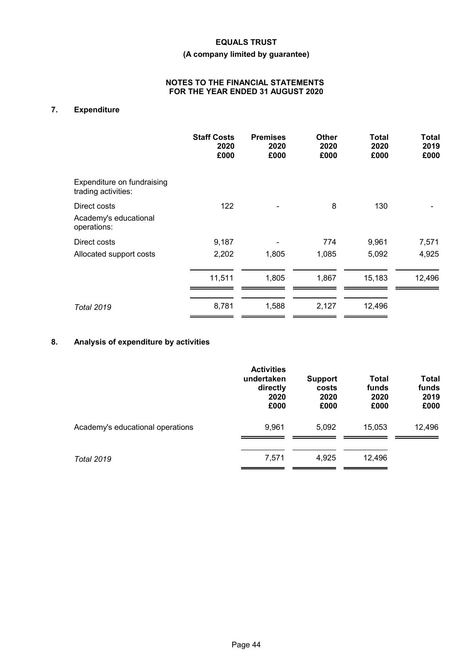# **(A company limited by guarantee)**

# **NOTES TO THE FINANCIAL STATEMENTS FOR THE YEAR ENDED 31 AUGUST 2020**

# **7. Expenditure**

|                                                      | <b>Staff Costs</b><br>2020<br>£000 | <b>Premises</b><br>2020<br>£000 | Other<br>2020<br>£000 | Total<br>2020<br>£000 | Total<br>2019<br>£000 |
|------------------------------------------------------|------------------------------------|---------------------------------|-----------------------|-----------------------|-----------------------|
| Expenditure on fundraising<br>trading activities:    |                                    |                                 |                       |                       |                       |
| Direct costs<br>Academy's educational<br>operations: | 122                                |                                 | 8                     | 130                   |                       |
| Direct costs                                         | 9,187                              |                                 | 774                   | 9,961                 | 7,571                 |
| Allocated support costs                              | 2,202                              | 1,805                           | 1,085                 | 5,092                 | 4,925                 |
|                                                      | 11,511                             | 1,805                           | 1,867                 | 15,183                | 12,496                |
| <b>Total 2019</b>                                    | 8,781                              | 1,588                           | 2,127                 | 12,496                |                       |

# **8. Analysis of expenditure by activities**

|                                  | <b>Activities</b><br>undertaken<br>directly<br>2020<br>£000 | <b>Support</b><br>costs<br>2020<br>£000 | Total<br>funds<br>2020<br>£000 | <b>Total</b><br>funds<br>2019<br>£000 |
|----------------------------------|-------------------------------------------------------------|-----------------------------------------|--------------------------------|---------------------------------------|
| Academy's educational operations | 9,961                                                       | 5,092                                   | 15,053                         | 12,496                                |
| <b>Total 2019</b>                | 7,571                                                       | 4,925                                   | 12,496                         |                                       |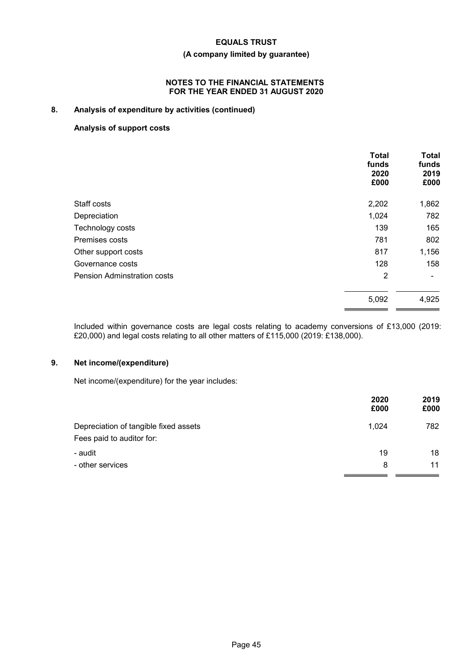# **(A company limited by guarantee)**

### **NOTES TO THE FINANCIAL STATEMENTS FOR THE YEAR ENDED 31 AUGUST 2020**

# **8. Analysis of expenditure by activities (continued)**

# **Analysis of support costs**

|                                    | <b>Total</b><br>funds<br>2020<br>£000 | <b>Total</b><br>funds<br>2019<br>£000 |
|------------------------------------|---------------------------------------|---------------------------------------|
| Staff costs                        | 2,202                                 | 1,862                                 |
| Depreciation                       | 1,024                                 | 782                                   |
| Technology costs                   | 139                                   | 165                                   |
| Premises costs                     | 781                                   | 802                                   |
| Other support costs                | 817                                   | 1,156                                 |
| Governance costs                   | 128                                   | 158                                   |
| <b>Pension Adminstration costs</b> | $\overline{2}$                        |                                       |
|                                    | 5,092                                 | 4,925                                 |

Included within governance costs are legal costs relating to academy conversions of £13,000 (2019: £20,000) and legal costs relating to all other matters of £115,000 (2019: £138,000).

# **9. Net income/(expenditure)**

Net income/(expenditure) for the year includes:

|                                                                    | 2020<br>£000 | 2019<br>£000 |
|--------------------------------------------------------------------|--------------|--------------|
| Depreciation of tangible fixed assets<br>Fees paid to auditor for: | 1,024        | 782          |
| - audit                                                            | 19           | 18           |
| - other services                                                   | 8            | 11           |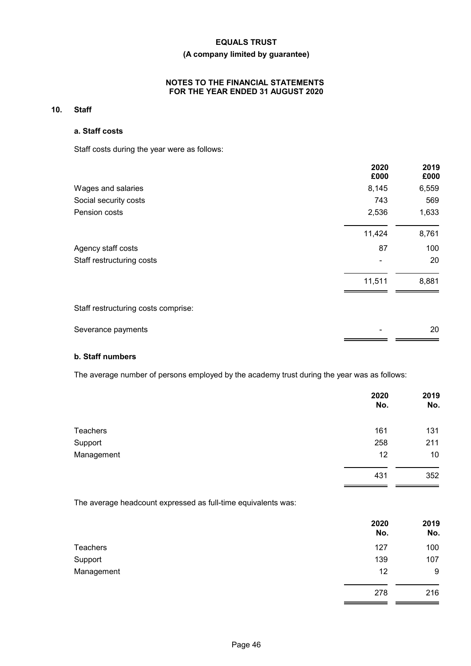# **(A company limited by guarantee)**

# **NOTES TO THE FINANCIAL STATEMENTS FOR THE YEAR ENDED 31 AUGUST 2020**

# **10. Staff**

# **a. Staff costs**

Staff costs during the year were as follows:

|                                     | 2020<br>£000 | 2019<br>£000 |
|-------------------------------------|--------------|--------------|
| Wages and salaries                  | 8,145        | 6,559        |
| Social security costs               | 743          | 569          |
| Pension costs                       | 2,536        | 1,633        |
|                                     | 11,424       | 8,761        |
| Agency staff costs                  | 87           | 100          |
| Staff restructuring costs           |              | 20           |
|                                     | 11,511       | 8,881        |
| Staff restructuring costs comprise: |              |              |
| Severance payments                  |              | 20           |

 $=$   $=$ 

j.

# **b. Staff numbers**

The average number of persons employed by the academy trust during the year was as follows:

|                 | 2020<br>No. | 2019<br>No.     |
|-----------------|-------------|-----------------|
| <b>Teachers</b> | 161         | 131             |
| Support         | 258         | 211             |
| Management      | 12          | 10 <sup>°</sup> |
|                 | 431         | 352             |
|                 |             |                 |

The average headcount expressed as full-time equivalents was:

|            | 2020<br>No. | 2019<br>No. |
|------------|-------------|-------------|
| Teachers   | 127         | 100         |
| Support    | 139         | 107         |
| Management | 12          | 9           |
|            | 278         | 216         |
|            |             |             |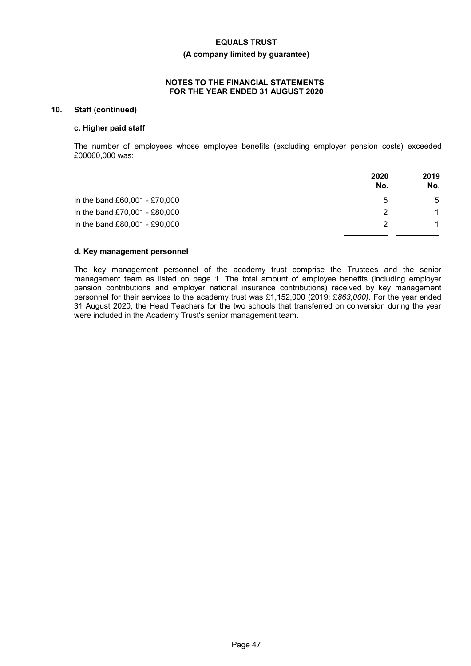#### **(A company limited by guarantee)**

#### **NOTES TO THE FINANCIAL STATEMENTS FOR THE YEAR ENDED 31 AUGUST 2020**

# **10. Staff (continued)**

#### **c. Higher paid staff**

The number of employees whose employee benefits (excluding employer pension costs) exceeded £00060,000 was:

|                               | 2020<br>No. | 2019<br>No. |
|-------------------------------|-------------|-------------|
| In the band £60,001 - £70,000 | 5           | 5           |
| In the band £70,001 - £80,000 |             |             |
| In the band £80,001 - £90,000 |             |             |

#### **d. Key management personnel**

The key management personnel of the academy trust comprise the Trustees and the senior management team as listed on page 1. The total amount of employee benefits (including employer pension contributions and employer national insurance contributions) received by key management personnel for their services to the academy trust was £1,152,000 (2019: £*863,000)*. For the year ended 31 August 2020, the Head Teachers for the two schools that transferred on conversion during the year were included in the Academy Trust's senior management team.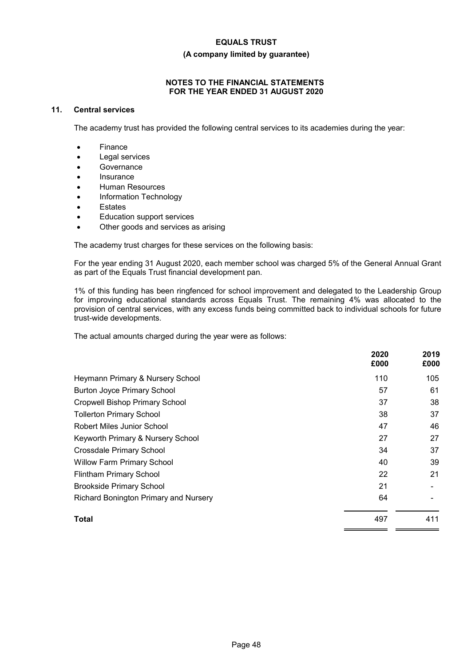# **(A company limited by guarantee)**

# **NOTES TO THE FINANCIAL STATEMENTS FOR THE YEAR ENDED 31 AUGUST 2020**

# **11. Central services**

The academy trust has provided the following central services to its academies during the year:

- Finance
- Legal services
- **Governance**
- Insurance
- Human Resources
- Information Technology
- Estates
- Education support services
- Other goods and services as arising

The academy trust charges for these services on the following basis:

For the year ending 31 August 2020, each member school was charged 5% of the General Annual Grant as part of the Equals Trust financial development pan.

1% of this funding has been ringfenced for school improvement and delegated to the Leadership Group for improving educational standards across Equals Trust. The remaining 4% was allocated to the provision of central services, with any excess funds being committed back to individual schools for future trust-wide developments.

The actual amounts charged during the year were as follows:

|                                              | 2020<br>£000 | 2019<br>£000 |
|----------------------------------------------|--------------|--------------|
| Heymann Primary & Nursery School             | 110          | 105          |
| <b>Burton Joyce Primary School</b>           | 57           | 61           |
| <b>Cropwell Bishop Primary School</b>        | 37           | 38           |
| <b>Tollerton Primary School</b>              | 38           | 37           |
| Robert Miles Junior School                   | 47           | 46           |
| Keyworth Primary & Nursery School            | 27           | 27           |
| Crossdale Primary School                     | 34           | 37           |
| <b>Willow Farm Primary School</b>            | 40           | 39           |
| <b>Flintham Primary School</b>               | 22           | 21           |
| <b>Brookside Primary School</b>              | 21           |              |
| <b>Richard Bonington Primary and Nursery</b> | 64           |              |
| Total                                        | 497          | 411          |

 $=$   $=$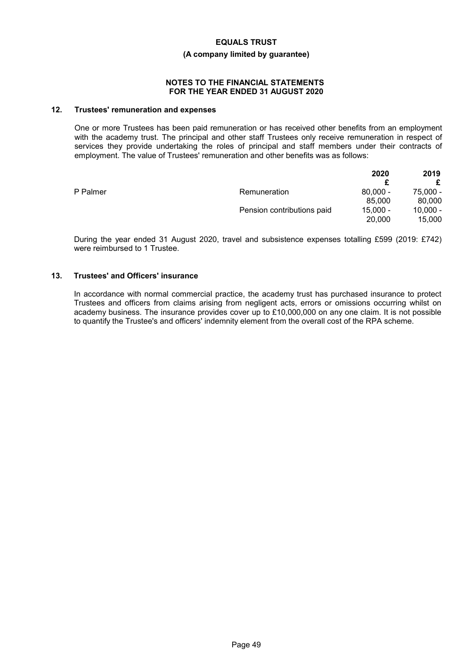#### **(A company limited by guarantee)**

#### **NOTES TO THE FINANCIAL STATEMENTS FOR THE YEAR ENDED 31 AUGUST 2020**

### **12. Trustees' remuneration and expenses**

One or more Trustees has been paid remuneration or has received other benefits from an employment with the academy trust. The principal and other staff Trustees only receive remuneration in respect of services they provide undertaking the roles of principal and staff members under their contracts of employment. The value of Trustees' remuneration and other benefits was as follows:

|          |                            | 2020       | 2019       |
|----------|----------------------------|------------|------------|
|          |                            |            |            |
| P Palmer | Remuneration               | $80.000 -$ | 75,000 -   |
|          |                            | 85,000     | 80,000     |
|          | Pension contributions paid | $15.000 -$ | $10,000 -$ |
|          |                            | 20,000     | 15,000     |

During the year ended 31 August 2020, travel and subsistence expenses totalling £599 (2019: £742) were reimbursed to 1 Trustee.

### **13. Trustees' and Officers' insurance**

In accordance with normal commercial practice, the academy trust has purchased insurance to protect Trustees and officers from claims arising from negligent acts, errors or omissions occurring whilst on academy business. The insurance provides cover up to £10,000,000 on any one claim. It is not possible to quantify the Trustee's and officers' indemnity element from the overall cost of the RPA scheme.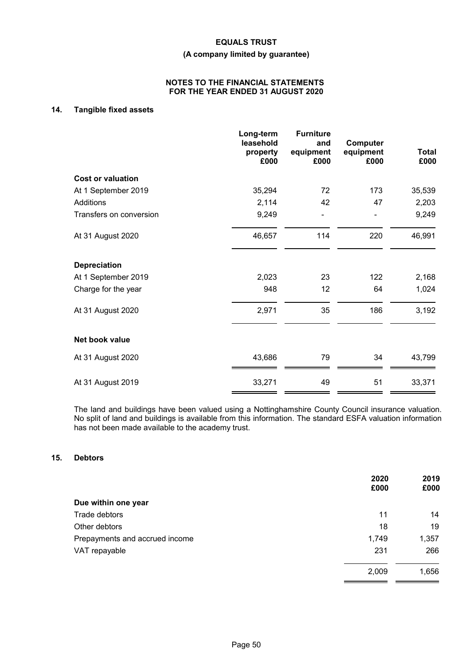# **(A company limited by guarantee)**

#### **NOTES TO THE FINANCIAL STATEMENTS FOR THE YEAR ENDED 31 AUGUST 2020**

# **14. Tangible fixed assets**

|                          | Long-term<br>leasehold<br>property<br>£000 | <b>Furniture</b><br>and<br>equipment<br>£000 | Computer<br>equipment<br>£000 | <b>Total</b><br>£000 |
|--------------------------|--------------------------------------------|----------------------------------------------|-------------------------------|----------------------|
| <b>Cost or valuation</b> |                                            |                                              |                               |                      |
| At 1 September 2019      | 35,294                                     | 72                                           | 173                           | 35,539               |
| Additions                | 2,114                                      | 42                                           | 47                            | 2,203                |
| Transfers on conversion  | 9,249                                      |                                              |                               | 9,249                |
| At 31 August 2020        | 46,657                                     | 114                                          | 220                           | 46,991               |
| <b>Depreciation</b>      |                                            |                                              |                               |                      |
| At 1 September 2019      | 2,023                                      | 23                                           | 122                           | 2,168                |
| Charge for the year      | 948                                        | 12                                           | 64                            | 1,024                |
| At 31 August 2020        | 2,971                                      | 35                                           | 186                           | 3,192                |
| Net book value           |                                            |                                              |                               |                      |
| At 31 August 2020        | 43,686                                     | 79                                           | 34                            | 43,799               |
| At 31 August 2019        | 33,271                                     | 49                                           | 51                            | 33,371               |

The land and buildings have been valued using a Nottinghamshire County Council insurance valuation. No split of land and buildings is available from this information. The standard ESFA valuation information has not been made available to the academy trust.

### **15. Debtors**

| 2020<br>£000 | 2019<br>£000 |
|--------------|--------------|
|              |              |
| 11           | 14           |
| 18           | 19           |
| 1,749        | 1,357        |
| 231          | 266          |
| 2,009        | 1,656        |
|              |              |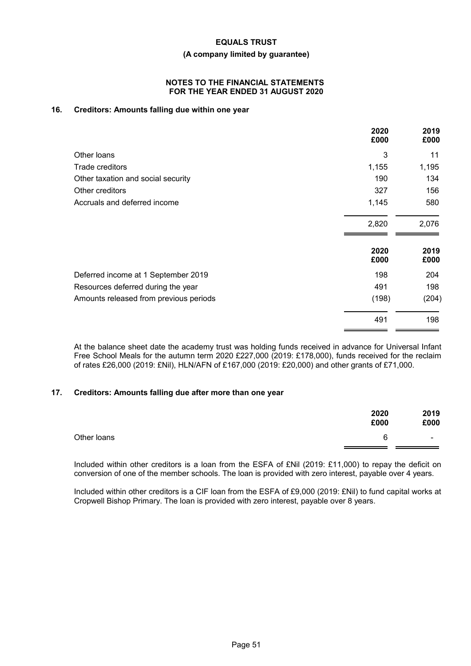#### **(A company limited by guarantee)**

#### **NOTES TO THE FINANCIAL STATEMENTS FOR THE YEAR ENDED 31 AUGUST 2020**

# **16. Creditors: Amounts falling due within one year**

|                                        | 2020<br>£000 | 2019<br>£000 |
|----------------------------------------|--------------|--------------|
| Other loans                            | 3            | 11           |
| Trade creditors                        | 1,155        | 1,195        |
| Other taxation and social security     | 190          | 134          |
| Other creditors                        | 327          | 156          |
| Accruals and deferred income           | 1,145        | 580          |
|                                        | 2,820        | 2,076        |
|                                        | 2020<br>£000 | 2019<br>£000 |
| Deferred income at 1 September 2019    | 198          | 204          |
| Resources deferred during the year     | 491          | 198          |
| Amounts released from previous periods | (198)        | (204)        |
|                                        | 491          | 198          |
|                                        |              |              |

At the balance sheet date the academy trust was holding funds received in advance for Universal Infant Free School Meals for the autumn term 2020 £227,000 (2019: £178,000), funds received for the reclaim of rates £26,000 (2019: £Nil), HLN/AFN of £167,000 (2019: £20,000) and other grants of £71,000.

#### **17. Creditors: Amounts falling due after more than one year**

|             | 2020<br>£000 | 2019<br>£000             |
|-------------|--------------|--------------------------|
| Other loans | 6            | $\overline{\phantom{0}}$ |
|             |              |                          |

Included within other creditors is a loan from the ESFA of £Nil (2019: £11,000) to repay the deficit on conversion of one of the member schools. The loan is provided with zero interest, payable over 4 years.

Included within other creditors is a CIF loan from the ESFA of £9,000 (2019: £Nil) to fund capital works at Cropwell Bishop Primary. The loan is provided with zero interest, payable over 8 years.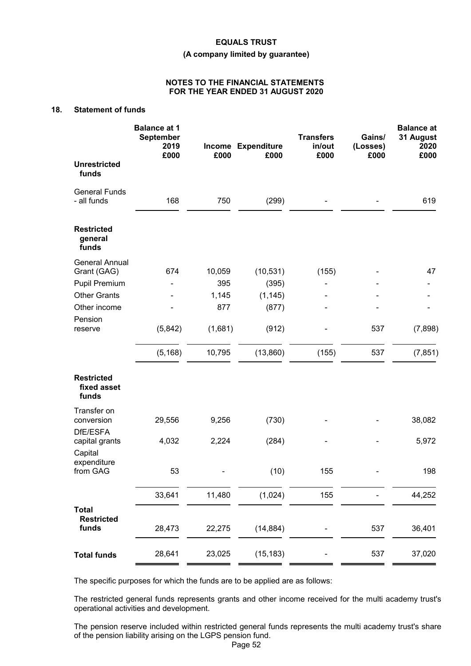#### **(A company limited by guarantee)**

#### **NOTES TO THE FINANCIAL STATEMENTS FOR THE YEAR ENDED 31 AUGUST 2020**

# **18. Statement of funds**

|                                                       | <b>Balance at 1</b><br><b>September</b><br>2019<br>£000 | £000          | Income Expenditure<br>£000 | <b>Transfers</b><br>in/out<br>£000 | Gains/<br>(Losses)<br>£000 | <b>Balance at</b><br>31 August<br>2020<br>£000 |
|-------------------------------------------------------|---------------------------------------------------------|---------------|----------------------------|------------------------------------|----------------------------|------------------------------------------------|
| <b>Unrestricted</b><br>funds                          |                                                         |               |                            |                                    |                            |                                                |
| <b>General Funds</b><br>- all funds                   | 168                                                     | 750           | (299)                      |                                    |                            | 619                                            |
| <b>Restricted</b><br>general<br>funds                 |                                                         |               |                            |                                    |                            |                                                |
| <b>General Annual</b><br>Grant (GAG)<br>Pupil Premium | 674                                                     | 10,059<br>395 | (10, 531)<br>(395)         | (155)                              |                            | 47                                             |
| <b>Other Grants</b>                                   |                                                         | 1,145         | (1, 145)                   |                                    |                            |                                                |
| Other income                                          |                                                         | 877           | (877)                      |                                    |                            |                                                |
| Pension<br>reserve                                    | (5,842)                                                 | (1,681)       | (912)                      |                                    | 537                        | (7,898)                                        |
|                                                       | (5, 168)                                                | 10,795        | (13,860)                   | (155)                              | 537                        | (7, 851)                                       |
| <b>Restricted</b><br>fixed asset<br>funds             |                                                         |               |                            |                                    |                            |                                                |
| Transfer on<br>conversion<br>DfE/ESFA                 | 29,556                                                  | 9,256         | (730)                      |                                    |                            | 38,082                                         |
| capital grants                                        | 4,032                                                   | 2,224         | (284)                      |                                    |                            | 5,972                                          |
| Capital<br>expenditure<br>from GAG                    | 53                                                      |               | (10)                       | 155                                |                            | 198                                            |
|                                                       | 33,641                                                  | 11,480        | (1,024)                    | 155                                |                            | 44,252                                         |
| <b>Total</b><br><b>Restricted</b><br>funds            | 28,473                                                  | 22,275        | (14, 884)                  |                                    | 537                        | 36,401                                         |
| <b>Total funds</b>                                    | 28,641                                                  | 23,025        | (15, 183)                  |                                    | 537                        | 37,020                                         |

The specific purposes for which the funds are to be applied are as follows:

The restricted general funds represents grants and other income received for the multi academy trust's operational activities and development.

The pension reserve included within restricted general funds represents the multi academy trust's share of the pension liability arising on the LGPS pension fund.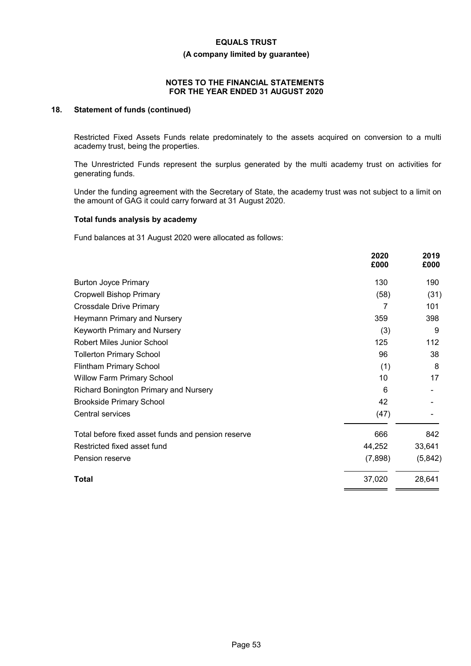**(A company limited by guarantee)**

# **NOTES TO THE FINANCIAL STATEMENTS FOR THE YEAR ENDED 31 AUGUST 2020**

# **18. Statement of funds (continued)**

Restricted Fixed Assets Funds relate predominately to the assets acquired on conversion to a multi academy trust, being the properties.

The Unrestricted Funds represent the surplus generated by the multi academy trust on activities for generating funds.

Under the funding agreement with the Secretary of State, the academy trust was not subject to a limit on the amount of GAG it could carry forward at 31 August 2020.

#### **Total funds analysis by academy**

Fund balances at 31 August 2020 were allocated as follows:

|                                                    | 2020<br>£000 | 2019<br>£000 |
|----------------------------------------------------|--------------|--------------|
| <b>Burton Joyce Primary</b>                        | 130          | 190          |
| <b>Cropwell Bishop Primary</b>                     | (58)         | (31)         |
| <b>Crossdale Drive Primary</b>                     | 7            | 101          |
| Heymann Primary and Nursery                        | 359          | 398          |
| Keyworth Primary and Nursery                       | (3)          | 9            |
| <b>Robert Miles Junior School</b>                  | 125          | 112          |
| <b>Tollerton Primary School</b>                    | 96           | 38           |
| Flintham Primary School                            | (1)          | 8            |
| <b>Willow Farm Primary School</b>                  | 10           | 17           |
| Richard Bonington Primary and Nursery              | 6            |              |
| <b>Brookside Primary School</b>                    | 42           |              |
| Central services                                   | (47)         |              |
| Total before fixed asset funds and pension reserve | 666          | 842          |
| Restricted fixed asset fund                        | 44,252       | 33,641       |
| Pension reserve                                    | (7,898)      | (5,842)      |
| Total                                              | 37,020       | 28,641       |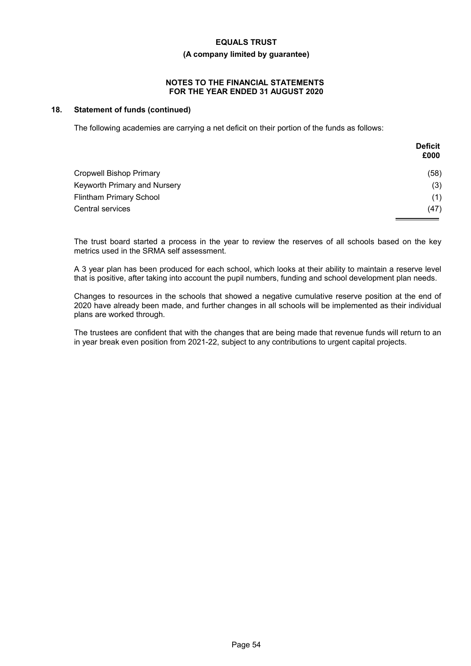# **(A company limited by guarantee)**

# **NOTES TO THE FINANCIAL STATEMENTS FOR THE YEAR ENDED 31 AUGUST 2020**

# **18. Statement of funds (continued)**

The following academies are carrying a net deficit on their portion of the funds as follows:

|                                | <b>Deficit</b><br>£000 |
|--------------------------------|------------------------|
| <b>Cropwell Bishop Primary</b> | (58)                   |
| Keyworth Primary and Nursery   | (3)                    |
| <b>Flintham Primary School</b> | (1)                    |
| Central services               | (47)                   |

The trust board started a process in the year to review the reserves of all schools based on the key metrics used in the SRMA self assessment.

A 3 year plan has been produced for each school, which looks at their ability to maintain a reserve level that is positive, after taking into account the pupil numbers, funding and school development plan needs.

Changes to resources in the schools that showed a negative cumulative reserve position at the end of 2020 have already been made, and further changes in all schools will be implemented as their individual plans are worked through.

The trustees are confident that with the changes that are being made that revenue funds will return to an in year break even position from 2021-22, subject to any contributions to urgent capital projects.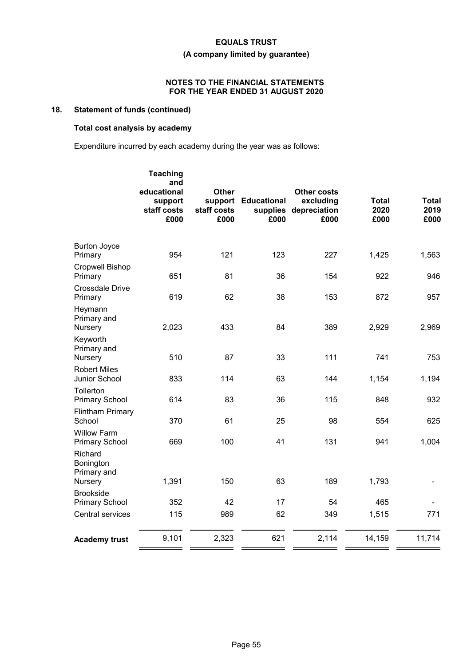# **(A company limited by guarantee)**

# **NOTES TO THE FINANCIAL STATEMENTS FOR THE YEAR ENDED 31 AUGUST 2020**

# **18. Statement of funds (continued)**

# **Total cost analysis by academy**

Expenditure incurred by each academy during the year was as follows:

|                                                | <b>Teaching</b><br>and<br>educational<br>support<br>staff costs<br>£000 | <b>Other</b><br>support<br>staff costs<br>£000 | <b>Educational</b><br>supplies<br>£000 | <b>Other costs</b><br>excluding<br>depreciation<br>£000 | <b>Total</b><br>2020<br>£000 | <b>Total</b><br>2019<br>£000 |
|------------------------------------------------|-------------------------------------------------------------------------|------------------------------------------------|----------------------------------------|---------------------------------------------------------|------------------------------|------------------------------|
| <b>Burton Joyce</b><br>Primary                 | 954                                                                     | 121                                            | 123                                    | 227                                                     | 1,425                        | 1,563                        |
| <b>Cropwell Bishop</b><br>Primary              | 651                                                                     | 81                                             | 36                                     | 154                                                     | 922                          | 946                          |
| <b>Crossdale Drive</b><br>Primary              | 619                                                                     | 62                                             | 38                                     | 153                                                     | 872                          | 957                          |
| Heymann<br>Primary and<br>Nursery              | 2,023                                                                   | 433                                            | 84                                     | 389                                                     | 2,929                        | 2,969                        |
| Keyworth<br>Primary and<br>Nursery             | 510                                                                     | 87                                             | 33                                     | 111                                                     | 741                          | 753                          |
| <b>Robert Miles</b><br>Junior School           | 833                                                                     | 114                                            | 63                                     | 144                                                     | 1,154                        | 1,194                        |
| <b>Tollerton</b><br><b>Primary School</b>      | 614                                                                     | 83                                             | 36                                     | 115                                                     | 848                          | 932                          |
| <b>Flintham Primary</b><br>School              | 370                                                                     | 61                                             | 25                                     | 98                                                      | 554                          | 625                          |
| <b>Willow Farm</b><br><b>Primary School</b>    | 669                                                                     | 100                                            | 41                                     | 131                                                     | 941                          | 1,004                        |
| Richard<br>Bonington<br>Primary and<br>Nursery | 1,391                                                                   | 150                                            | 63                                     | 189                                                     | 1,793                        |                              |
| <b>Brookside</b><br><b>Primary School</b>      | 352                                                                     | 42                                             | 17                                     | 54                                                      | 465                          |                              |
| Central services                               | 115                                                                     | 989                                            | 62                                     | 349                                                     | 1,515                        | 771                          |
| <b>Academy trust</b>                           | 9,101                                                                   | 2,323                                          | 621                                    | 2,114                                                   | 14,159                       | 11,714                       |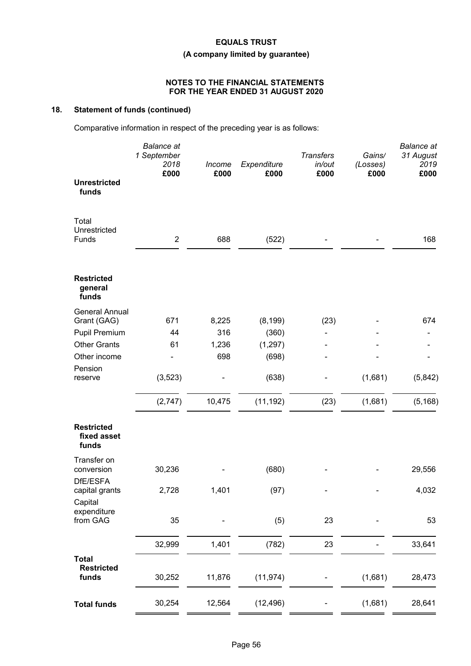# **(A company limited by guarantee)**

# **NOTES TO THE FINANCIAL STATEMENTS FOR THE YEAR ENDED 31 AUGUST 2020**

# **18. Statement of funds (continued)**

Comparative information in respect of the preceding year is as follows:

| £000<br>£000<br>£000<br>£000<br>£000                                                          |          |
|-----------------------------------------------------------------------------------------------|----------|
| <b>Unrestricted</b><br>funds                                                                  |          |
| Total<br>Unrestricted<br>$\overline{2}$<br>688<br>(522)<br>Funds                              | 168      |
| <b>Restricted</b><br>general<br>funds                                                         |          |
| <b>General Annual</b>                                                                         |          |
| Grant (GAG)<br>671<br>8,225<br>(8, 199)<br>(23)<br><b>Pupil Premium</b><br>316<br>(360)<br>44 | 674      |
| <b>Other Grants</b><br>61<br>1,236<br>(1, 297)                                                |          |
| 698<br>Other income<br>(698)                                                                  |          |
| Pension                                                                                       |          |
| (3, 523)<br>(1,681)<br>(638)<br>reserve                                                       | (5,842)  |
| 10,475<br>(11, 192)<br>(2,747)<br>(23)<br>(1,681)                                             | (5, 168) |
| <b>Restricted</b><br>fixed asset<br>funds                                                     |          |
| Transfer on                                                                                   |          |
| 30,236<br>(680)<br>conversion<br>DfE/ESFA                                                     | 29,556   |
| 2,728<br>1,401<br>(97)<br>capital grants                                                      | 4,032    |
| Capital                                                                                       |          |
| expenditure<br>from GAG<br>35<br>(5)<br>23                                                    | 53       |
| 1,401<br>32,999<br>23                                                                         | 33,641   |
| (782)                                                                                         |          |
| <b>Total</b><br><b>Restricted</b><br>funds<br>11,876<br>(11, 974)<br>(1,681)<br>30,252        | 28,473   |
| 30,254<br>12,564<br>(12, 496)<br>(1,681)<br><b>Total funds</b>                                | 28,641   |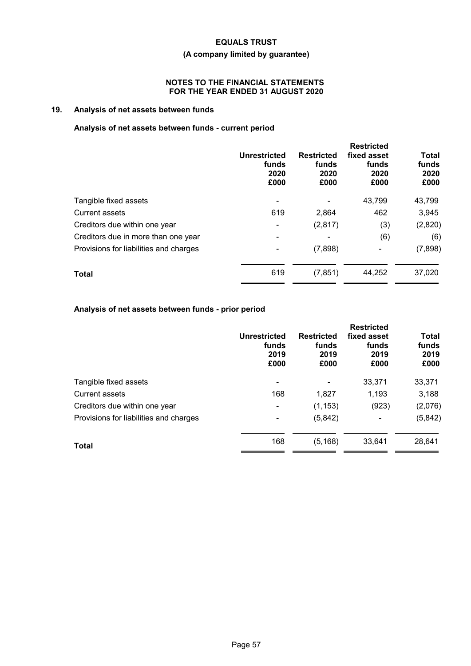# **(A company limited by guarantee)**

# **NOTES TO THE FINANCIAL STATEMENTS FOR THE YEAR ENDED 31 AUGUST 2020**

# **19. Analysis of net assets between funds**

# **Analysis of net assets between funds - current period**

|                                        | <b>Unrestricted</b><br>funds<br>2020<br>£000 | <b>Restricted</b><br>funds<br>2020<br>£000 | <b>Restricted</b><br>fixed asset<br>funds<br>2020<br>£000 | <b>Total</b><br>funds<br>2020<br>£000 |
|----------------------------------------|----------------------------------------------|--------------------------------------------|-----------------------------------------------------------|---------------------------------------|
| Tangible fixed assets                  |                                              |                                            | 43,799                                                    | 43,799                                |
| <b>Current assets</b>                  | 619                                          | 2,864                                      | 462                                                       | 3,945                                 |
| Creditors due within one year          |                                              | (2,817)                                    | (3)                                                       | (2,820)                               |
| Creditors due in more than one year    |                                              |                                            | (6)                                                       | (6)                                   |
| Provisions for liabilities and charges |                                              | (7,898)                                    | ۰                                                         | (7,898)                               |
| <b>Total</b>                           | 619                                          | (7, 851)                                   | 44,252                                                    | 37,020                                |

# **Analysis of net assets between funds - prior period**

|                                        | <b>Unrestricted</b><br>funds<br>2019<br>£000 | <b>Restricted</b><br>funds<br>2019<br>£000 | <b>Restricted</b><br>fixed asset<br>funds<br>2019<br>£000 | <b>Total</b><br>funds<br>2019<br>£000 |
|----------------------------------------|----------------------------------------------|--------------------------------------------|-----------------------------------------------------------|---------------------------------------|
| Tangible fixed assets                  | ۰                                            |                                            | 33,371                                                    | 33,371                                |
| <b>Current assets</b>                  | 168                                          | 1,827                                      | 1,193                                                     | 3,188                                 |
| Creditors due within one year          | ٠                                            | (1, 153)                                   | (923)                                                     | (2,076)                               |
| Provisions for liabilities and charges | ٠                                            | (5,842)                                    | $\blacksquare$                                            | (5,842)                               |
| Total                                  | 168                                          | (5, 168)                                   | 33.641                                                    | 28,641                                |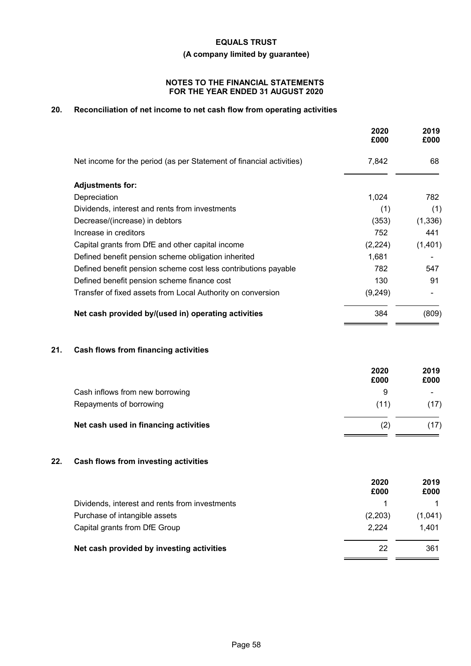**(A company limited by guarantee)**

# **NOTES TO THE FINANCIAL STATEMENTS FOR THE YEAR ENDED 31 AUGUST 2020**

# **20. Reconciliation of net income to net cash flow from operating activities**

|                                                                      | 2020<br>£000 | 2019<br>£000 |
|----------------------------------------------------------------------|--------------|--------------|
| Net income for the period (as per Statement of financial activities) | 7,842        | 68           |
| <b>Adjustments for:</b>                                              |              |              |
| Depreciation                                                         | 1,024        | 782          |
| Dividends, interest and rents from investments                       | (1)          | (1)          |
| Decrease/(increase) in debtors                                       | (353)        | (1, 336)     |
| Increase in creditors                                                | 752          | 441          |
| Capital grants from DfE and other capital income                     | (2,224)      | (1,401)      |
| Defined benefit pension scheme obligation inherited                  | 1,681        |              |
| Defined benefit pension scheme cost less contributions payable       | 782          | 547          |
| Defined benefit pension scheme finance cost                          | 130          | 91           |
| Transfer of fixed assets from Local Authority on conversion          | (9,249)      |              |
| Net cash provided by/(used in) operating activities                  | 384          | (809)        |
|                                                                      |              |              |
|                                                                      |              |              |

# **21. Cash flows from financing activities**

|                                       | 2020<br>£000 | 2019<br>£000 |
|---------------------------------------|--------------|--------------|
| Cash inflows from new borrowing       | 9            | $\sim$       |
| Repayments of borrowing               | (11)         | (17)         |
| Net cash used in financing activities | (2)          | (17)         |

# **22. Cash flows from investing activities**

|                                                | 2020<br>£000 | 2019<br>£000 |
|------------------------------------------------|--------------|--------------|
| Dividends, interest and rents from investments |              |              |
| Purchase of intangible assets                  | (2,203)      | (1,041)      |
| Capital grants from DfE Group                  | 2.224        | 1.401        |
| Net cash provided by investing activities      | 22           | 361          |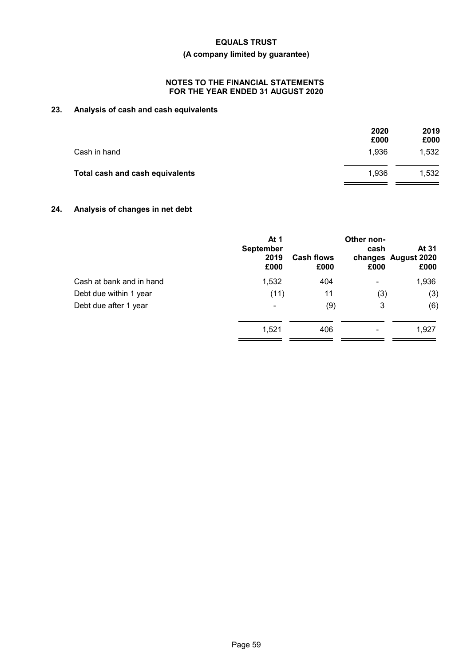# **(A company limited by guarantee)**

# **NOTES TO THE FINANCIAL STATEMENTS FOR THE YEAR ENDED 31 AUGUST 2020**

# **23. Analysis of cash and cash equivalents**

|                                 | 2020<br>£000 | 2019<br>£000 |
|---------------------------------|--------------|--------------|
| Cash in hand                    | 1,936        | 1,532        |
| Total cash and cash equivalents | 1.936        | 1.532        |

# **24. Analysis of changes in net debt**

|                          | At 1<br><b>September</b><br>2019<br>£000 | <b>Cash flows</b><br>£000 | Other non-<br>cash<br>£000 | At 31<br>changes August 2020<br>£000 |
|--------------------------|------------------------------------------|---------------------------|----------------------------|--------------------------------------|
| Cash at bank and in hand | 1,532                                    | 404                       | ۰                          | 1,936                                |
| Debt due within 1 year   | (11)                                     | 11                        | (3)                        | (3)                                  |
| Debt due after 1 year    | -                                        | (9)                       | 3                          | (6)                                  |
|                          | 1,521                                    | 406                       |                            | 1,927                                |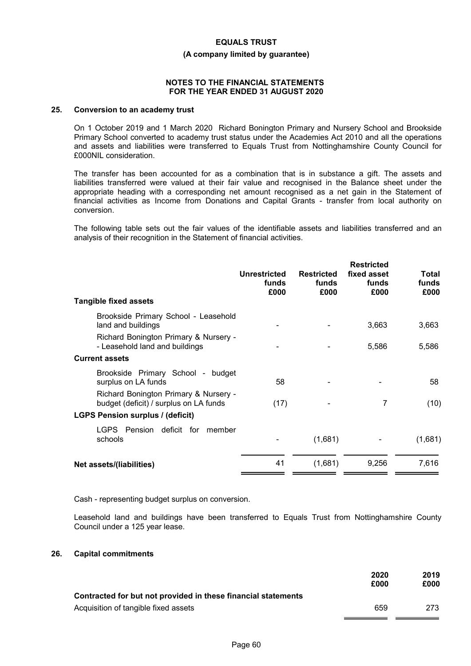#### **(A company limited by guarantee)**

### **NOTES TO THE FINANCIAL STATEMENTS FOR THE YEAR ENDED 31 AUGUST 2020**

# **25. Conversion to an academy trust**

On 1 October 2019 and 1 March 2020 Richard Bonington Primary and Nursery School and Brookside Primary School converted to academy trust status under the Academies Act 2010 and all the operations and assets and liabilities were transferred to Equals Trust from Nottinghamshire County Council for £000NIL consideration.

The transfer has been accounted for as a combination that is in substance a gift. The assets and liabilities transferred were valued at their fair value and recognised in the Balance sheet under the appropriate heading with a corresponding net amount recognised as a net gain in the Statement of financial activities as Income from Donations and Capital Grants - transfer from local authority on conversion.

The following table sets out the fair values of the identifiable assets and liabilities transferred and an analysis of their recognition in the Statement of financial activities.

| 3,663   |
|---------|
| 5,586   |
|         |
| 58      |
| (10)    |
|         |
| (1,681) |
| 7,616   |
|         |

Cash - representing budget surplus on conversion.

Leasehold land and buildings have been transferred to Equals Trust from Nottinghamshire County Council under a 125 year lease.

#### **26. Capital commitments**

|                                                               | 2020<br>£000 | 2019<br>£000 |
|---------------------------------------------------------------|--------------|--------------|
| Contracted for but not provided in these financial statements |              |              |
| Acquisition of tangible fixed assets                          | 659          | 273          |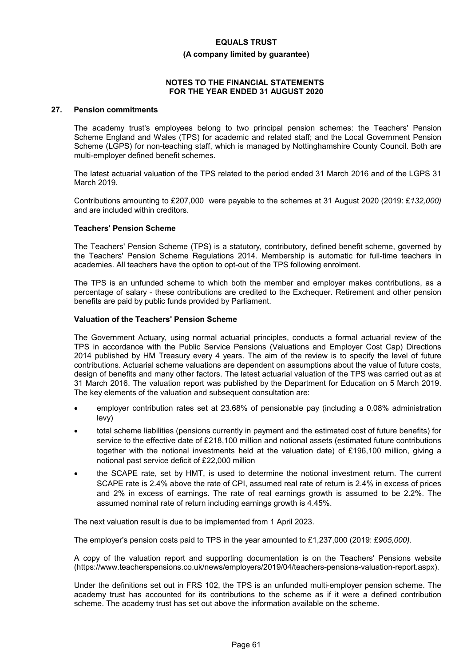#### **(A company limited by guarantee)**

#### **NOTES TO THE FINANCIAL STATEMENTS FOR THE YEAR ENDED 31 AUGUST 2020**

# **27. Pension commitments**

The academy trust's employees belong to two principal pension schemes: the Teachers' Pension Scheme England and Wales (TPS) for academic and related staff; and the Local Government Pension Scheme (LGPS) for non-teaching staff, which is managed by Nottinghamshire County Council. Both are multi-employer defined benefit schemes.

The latest actuarial valuation of the TPS related to the period ended 31 March 2016 and of the LGPS 31 March 2019.

Contributions amounting to £207,000 were payable to the schemes at 31 August 2020 (2019: £*132,000)* and are included within creditors.

#### **Teachers' Pension Scheme**

The Teachers' Pension Scheme (TPS) is a statutory, contributory, defined benefit scheme, governed by the Teachers' Pension Scheme Regulations 2014. Membership is automatic for full-time teachers in academies. All teachers have the option to opt-out of the TPS following enrolment.

The TPS is an unfunded scheme to which both the member and employer makes contributions, as a percentage of salary - these contributions are credited to the Exchequer. Retirement and other pension benefits are paid by public funds provided by Parliament.

#### **Valuation of the Teachers' Pension Scheme**

The Government Actuary, using normal actuarial principles, conducts a formal actuarial review of the TPS in accordance with the Public Service Pensions (Valuations and Employer Cost Cap) Directions 2014 published by HM Treasury every 4 years. The aim of the review is to specify the level of future contributions. Actuarial scheme valuations are dependent on assumptions about the value of future costs, design of benefits and many other factors. The latest actuarial valuation of the TPS was carried out as at 31 March 2016. The valuation report was published by the Department for Education on 5 March 2019. The key elements of the valuation and subsequent consultation are:

- employer contribution rates set at 23.68% of pensionable pay (including a 0.08% administration levy)
- total scheme liabilities (pensions currently in payment and the estimated cost of future benefits) for service to the effective date of £218,100 million and notional assets (estimated future contributions together with the notional investments held at the valuation date) of £196,100 million, giving a notional past service deficit of £22,000 million
- the SCAPE rate, set by HMT, is used to determine the notional investment return. The current SCAPE rate is 2.4% above the rate of CPI, assumed real rate of return is 2.4% in excess of prices and 2% in excess of earnings. The rate of real earnings growth is assumed to be 2.2%. The assumed nominal rate of return including earnings growth is 4.45%.

The next valuation result is due to be implemented from 1 April 2023.

The employer's pension costs paid to TPS in the year amounted to £1,237,000 (2019: £*905,000)*.

A copy of the valuation report and supporting documentation is on the Teachers' Pensions website (https://www.teacherspensions.co.uk/news/employers/2019/04/teachers-pensions-valuation-report.aspx).

Under the definitions set out in FRS 102, the TPS is an unfunded multi-employer pension scheme. The academy trust has accounted for its contributions to the scheme as if it were a defined contribution scheme. The academy trust has set out above the information available on the scheme.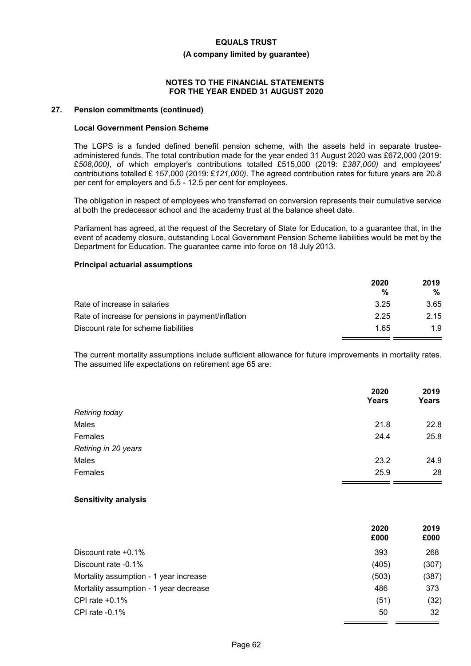#### **(A company limited by guarantee)**

### **NOTES TO THE FINANCIAL STATEMENTS FOR THE YEAR ENDED 31 AUGUST 2020**

### **27. Pension commitments (continued)**

#### **Local Government Pension Scheme**

The LGPS is a funded defined benefit pension scheme, with the assets held in separate trusteeadministered funds. The total contribution made for the year ended 31 August 2020 was £672,000 (2019: £*508,000)*, of which employer's contributions totalled £515,000 (2019: £*387,000)* and employees' contributions totalled £ 157,000 (2019: £*121,000)*. The agreed contribution rates for future years are 20.8 per cent for employers and 5.5 - 12.5 per cent for employees.

The obligation in respect of employees who transferred on conversion represents their cumulative service at both the predecessor school and the academy trust at the balance sheet date.

Parliament has agreed, at the request of the Secretary of State for Education, to a guarantee that, in the event of academy closure, outstanding Local Government Pension Scheme liabilities would be met by the Department for Education. The guarantee came into force on 18 July 2013.

# **Principal actuarial assumptions**

|                                                    | 2020<br>% | 2019<br>% |
|----------------------------------------------------|-----------|-----------|
| Rate of increase in salaries                       | 3.25      | 3.65      |
| Rate of increase for pensions in payment/inflation | 2.25      | 2.15      |
| Discount rate for scheme liabilities               | 1.65      | 1.9       |

The current mortality assumptions include sufficient allowance for future improvements in mortality rates. The assumed life expectations on retirement age 65 are:

|                       | 2020<br>Years | 2019<br><b>Years</b> |
|-----------------------|---------------|----------------------|
| <b>Retiring today</b> |               |                      |
| Males                 | 21.8          | 22.8                 |
| Females               | 24.4          | 25.8                 |
| Retiring in 20 years  |               |                      |
| Males                 | 23.2          | 24.9                 |
| Females               | 25.9          | 28                   |

#### **Sensitivity analysis**

|                                        | 2020<br>£000 | 2019<br>£000 |
|----------------------------------------|--------------|--------------|
| Discount rate $+0.1\%$                 | 393          | 268          |
| Discount rate -0.1%                    | (405)        | (307)        |
| Mortality assumption - 1 year increase | (503)        | (387)        |
| Mortality assumption - 1 year decrease | 486          | 373          |
| CPI rate $+0.1\%$                      | (51)         | (32)         |
| CPI rate $-0.1\%$                      | 50           | 32           |
|                                        |              |              |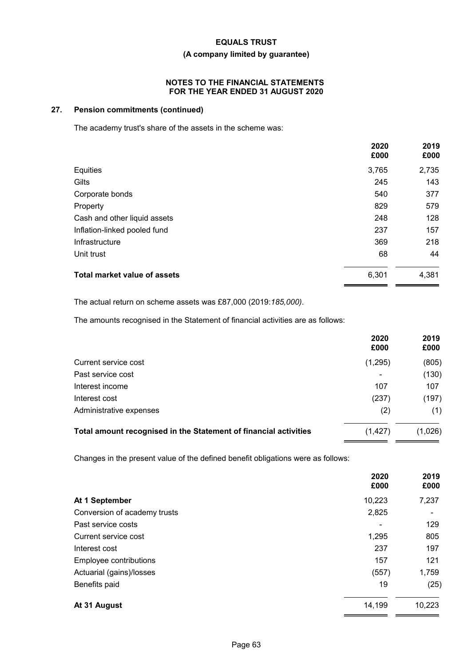# **(A company limited by guarantee)**

### **NOTES TO THE FINANCIAL STATEMENTS FOR THE YEAR ENDED 31 AUGUST 2020**

# **27. Pension commitments (continued)**

The academy trust's share of the assets in the scheme was:

|                                     | 2020<br>£000 | 2019<br>£000 |
|-------------------------------------|--------------|--------------|
| Equities                            | 3,765        | 2,735        |
| Gilts                               | 245          | 143          |
| Corporate bonds                     | 540          | 377          |
| Property                            | 829          | 579          |
| Cash and other liquid assets        | 248          | 128          |
| Inflation-linked pooled fund        | 237          | 157          |
| Infrastructure                      | 369          | 218          |
| Unit trust                          | 68           | 44           |
| <b>Total market value of assets</b> | 6,301        | 4,381        |

The actual return on scheme assets was £87,000 (2019:*185,000)*.

The amounts recognised in the Statement of financial activities are as follows:

|                                                                  | 2020<br>£000   | 2019<br>£000 |
|------------------------------------------------------------------|----------------|--------------|
| Current service cost                                             | (1,295)        | (805)        |
| Past service cost                                                | $\blacksquare$ | (130)        |
| Interest income                                                  | 107            | 107          |
| Interest cost                                                    | (237)          | (197)        |
| Administrative expenses                                          | (2)            | (1)          |
| Total amount recognised in the Statement of financial activities | (1, 427)       | (1,026)      |

Changes in the present value of the defined benefit obligations were as follows:

|                              | 2020<br>£000   | 2019<br>£000 |
|------------------------------|----------------|--------------|
| At 1 September               | 10,223         | 7,237        |
| Conversion of academy trusts | 2,825          |              |
| Past service costs           | $\blacksquare$ | 129          |
| Current service cost         | 1,295          | 805          |
| Interest cost                | 237            | 197          |
| Employee contributions       | 157            | 121          |
| Actuarial (gains)/losses     | (557)          | 1,759        |
| Benefits paid                | 19             | (25)         |
| At 31 August                 | 14,199         | 10,223       |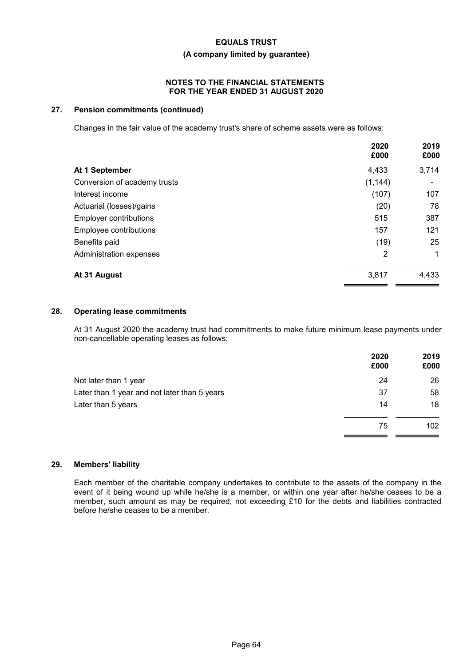# **(A company limited by guarantee)**

### **NOTES TO THE FINANCIAL STATEMENTS FOR THE YEAR ENDED 31 AUGUST 2020**

# **27. Pension commitments (continued)**

Changes in the fair value of the academy trust's share of scheme assets were as follows:

|                               | 2020<br>£000   | 2019<br>£000 |
|-------------------------------|----------------|--------------|
| At 1 September                | 4,433          | 3,714        |
| Conversion of academy trusts  | (1, 144)       | ۰            |
| Interest income               | (107)          | 107          |
| Actuarial (losses)/gains      | (20)           | 78           |
| <b>Employer contributions</b> | 515            | 387          |
| Employee contributions        | 157            | 121          |
| Benefits paid                 | (19)           | 25           |
| Administration expenses       | $\overline{2}$ | $\mathbf 1$  |
| At 31 August                  | 3,817          | 4,433        |

# **28. Operating lease commitments**

At 31 August 2020 the academy trust had commitments to make future minimum lease payments under non-cancellable operating leases as follows:

|                                              | 2020<br>£000 | 2019<br>£000 |
|----------------------------------------------|--------------|--------------|
| Not later than 1 year                        | 24           | 26           |
| Later than 1 year and not later than 5 years | 37           | 58           |
| Later than 5 years                           | 14           | 18           |
|                                              | 75           | 102          |

### **29. Members' liability**

Each member of the charitable company undertakes to contribute to the assets of the company in the event of it being wound up while he/she is a member, or within one year after he/she ceases to be a member, such amount as may be required, not exceeding £10 for the debts and liabilities contracted before he/she ceases to be a member.